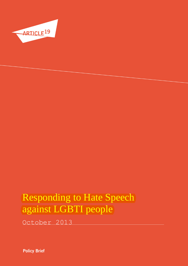

October 2013

**Policy Brief**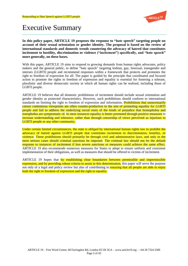

# Executive Summary

**In this policy paper, ARTICLE 19 proposes the response to "hate speech" targeting people on account of their sexual orientation or gender identity. The proposal is based on the review of international standards and domestic trends countering the advocacy of hatred that constitutes incitement to hostility, discrimination or violence ("incitement") specifically, and "hate speech" more generally, on these bases.** 

With this paper, ARTICLE 19 aims to respond to growing demands from human rights advocates, policy makers and the general public, to define "hate speech" targeting lesbian, gay, bisexual, transgender and intersex (LGBTI) people and recommend responses within a framework that protects and promotes the right to freedom of expression for all. The paper is guided by the principle that coordinated and focused action to promote the rights to freedom of expression and equality is essential for fostering a tolerant, pluralistic and diverse democratic society in which all human rights can be realised, including those of LGBTI people.

ARTICLE 19 believes that all domestic prohibitions of incitement should include sexual orientation and gender identity as protected characteristics. However, such prohibitions should conform to international standards on limiting the right to freedom of expression and information. **Prohibitions that unnecessarily** censor contentious viewpoints are often counter-productive to the aim of promoting equality for LGBTI people and fail to address the underlying social roots of the kinds of prejudice that homophobia and transphobia are symptomatic of. In most instances equality is better promoted through positive measures to increase understanding and tolerance, rather than through censorship of views perceived as injurious to LGBTI people or any other community.

Under certain limited circumstances, the state is *obliged* by international human rights law to prohibit the advocacy of hatred against LGBTI people that constitutes incitement to discrimination, hostility, or violence. These prohibitions should primarily be through civil and administrative laws, and only in the most serious cases should criminal sanctions be imposed. The criminal law should not be the default response to instances of incitement if less severe sanctions or measures could achieve the same effect. ARTICLE 19 also recommends numerous measures for States to adopt to ensure uniform and consistent implementation of their obligations, as well as measures that should be offered to victims of incitement.

ARTICLE 19 hopes that by establishing clear boundaries between permissible and impermissible expression, and by providing robust criteria to assist in this determination, this paper will serve the purpose not only of a legal and policy review but also of contributing to **ensuring that all people are able to enjoy** both the right to freedom of expression and the right to equality.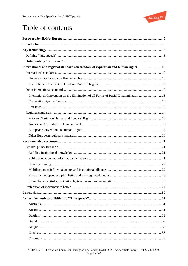

# Table of contents

| International and regional standards on freedom of expression and human rights10    |
|-------------------------------------------------------------------------------------|
|                                                                                     |
|                                                                                     |
|                                                                                     |
|                                                                                     |
| International Convention on the Elimination of all Forms of Racial Discrimination13 |
|                                                                                     |
|                                                                                     |
|                                                                                     |
|                                                                                     |
|                                                                                     |
|                                                                                     |
|                                                                                     |
|                                                                                     |
|                                                                                     |
|                                                                                     |
|                                                                                     |
|                                                                                     |
|                                                                                     |
| .23                                                                                 |
|                                                                                     |
|                                                                                     |
|                                                                                     |
|                                                                                     |
|                                                                                     |
|                                                                                     |
|                                                                                     |
|                                                                                     |
|                                                                                     |
|                                                                                     |
|                                                                                     |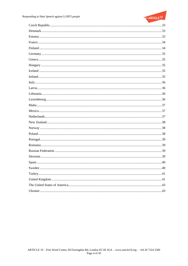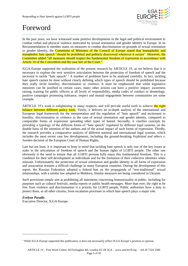

# Foreword

In the past years, we have witnessed some positive developments in the legal and political environment to combat verbal and physical violence motivated by sexual orientation and gender identity in Europe. In its Recommendation to member states on measures to combat discrimination on grounds of sexual orientation or gender identity, the Committee of Ministers of the Council of Europe stated that homophobic and transphobic hate speech "should be prohibited and publicly disavowed whenever it occurs". However, the Committee added "all measures should respect the fundamental freedom of expression in accordance with Article 10 of the Convention and the case law of the Court."

ILGA-Europe supported the realisation of the present research by ARTICLE 19, as we believe that it is necessary to explore the very sensitive articulation between the protection of freedom of speech and the necessity to tackle "hate speech".<sup>1</sup> A number of problems have to be analysed carefully. In fact, tackling hate speech cannot be done without clearly defining which types of speech should be prohibited because they really incite hostility, discrimination or violence. It must be emphasised that while legislative measures can be justified in certain cases, many other actions can have a positive impact: awareness raising, training for public officers at all levels of responsibility, media codes of conduct or deontology, positive campaigns promoting tolerance, respect and mutual engagement between communities are some example.

ARTICLE 19's work is enlightening in many respects, and will provide useful tools to achieve the right balance between different policy tools. Firstly, it delivers an in-depth analysis of the international and European legal framework for the interpretation and the regulation of "hate speech" and incitement to hostility, discrimination or violence in the case of sexual orientation and gender identity, compared to comparable forms of expression spreading other types of hatred. Secondly, it clarifies concepts by providing a typology of the different forms of "hate speech" regulated by different legal systems, on the double basis of the intention of the authors and of the actual impact of such forms of expression. Thirdly, the research provides a comparative analysis of different national and international legal systems, which includes the most recent case law developments, including the ground-breaking *Vejdeland and others v. Sweden* decision of the European Court of Human Rights.

Last but not least, it is important to keep in mind that tackling hate speech is only one of the key issues at stake in the articulation of freedom of speech and the human rights of LGBTI people. The other one obviously is the need to ensure that all LGBTI persons fully enjoy this fundamental freedom. This is a condition for their self-development as individuals and for the formation of their collective identities when relevant. Unfortunately, the protection of sexual orientation and gender identity in all forms of expression and association remains a difficult challenge in many European countries. During the development of this report, the Russian Federation adopted a federal ban on the propaganda of "non-traditional" sexual relationships, with a similar law adopted in Moldova. Similar measures are being considered in Ukraine.

Such provisions simply aim at prohibiting all statements concerning homosexuality in public, including for purposes such as cultural festivals, media reports or public health messages. More than ever, the right to be free from violence and discrimination is a priority for LGBTI people. Public authorities have a duty to protect them, as all other citizens, from escalation processes in which hate speech plays a major role.

# *Evelyne Paradis*

 $\overline{a}$ 

Executive Director, ILGA-Europe

<sup>&</sup>lt;sup>1</sup> While ILGA-Europe supported this publication, it does not necessarily reflect ILGA-Europe's position or opinion.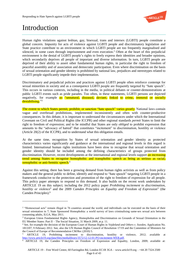

# Introduction

 $\overline{a}$ 

Human rights violations against lesbian, gay, bisexual, trans and intersex (LGBTI) people constitute a global concern. Impunity for acts of violence against LGBTI people and discriminatory legislation and State practice contribute to an environment in which LGBTI people are too frequently marginalised and silenced, in some cases through imprisonment and even execution. <sup>2</sup> Often at the heart of this prejudicial environment is the denial of LGBTI people's rights to freely express their identities and broader opinions, which secondarily deprives all people of important and diverse information. In turn, LGBTI people are deprived of their ability to assert other fundamental human rights, in particular the right to freedom of peaceful assembly and of association and democratic participation. Even where discrimination on the basis of sexual orientation and gender identity is prohibited by national law, prejudices and stereotypes related to LGBTI people significantly impede their implementation.

Discriminatory and prejudicial policies and practices against LGBTI people often reinforce contempt for sexual minorities in society and as a consequence LGBTI people are frequently targeted by "hate speech". This occurs in various contexts, including in the media, in political debates or counter-demonstrations at public LGBTI events such as pride parades. Too often, in these statements, LGBTI persons are depicted negatively, for example as "unnatural, diseased, deviant, linked to crime, immoral or socially destabilising."<sup>3</sup>

The extent to which States permit, prohibit, or sanction "hate speech" varies greatly. National laws contain vague and overbroad prohibitions, implemented inconsistently and often with counter-productive consequences. In this debate, it is important to understand the circumstances under which the International Covenant on Civil and Political Rights (the ICCPR) and other regional standards *permit* States to limit the right to freedom of expression; and to be mindful that States are only *obliged* to prohibit expression that amounts to the "advocacy of hatred" that constitutes "incitement" to discrimination, hostility or violence (Article 20(2) of the ICCPR), and to understand what this obligation entails.

At the same time, recognition by States of sexual orientation and gender identity as protected characteristics varies significantly and guidance at the international and regional levels in this regard is limited. International human rights institutions have been slow to recognise that sexual orientation and gender identity should be included among the defining characteristics of groups protected from discrimination. However, recent developments at the international and regional levels support an increasing trend among States to recognise homophobic and transphobic speech as being as serious as racial, xenophobic or anti-Semitic speech.<sup>4</sup>

Against this setting, there has been a growing demand from human rights activists as well as from policy makers and the general public to define, identify and respond to "hate speech" targeting LGBTI people in a framework conducive to the protection and promotion of the right to freedom of expression for all people. This policy paper attempts to respond to this demand. It also builds on the recent work undertaken by ARTICLE 19 on this subject; including the 2012 policy paper *Prohibiting incitement to discrimination, hostility or violence<sup>5</sup>* and the 2009 *Camden Principles on Equality and Freedom of Expression*" (the Camden Principles). 6

<sup>&</sup>lt;sup>2</sup> "Homosexual acts" remain illegal in 76 countries around the world, and individuals can be executed on the basis of their sexual orientation in 7; State Sponsored Homophobia: a world survey of laws criminalising same-sex sexual acts between consenting adults, ILGA, May 2011.

<sup>&</sup>lt;sup>3</sup> European Union Fundamental Rights Agency, Homophobia and Discrimination on Grounds of Sexual Orientation in the EU Member States: Part II – The Social Situation, 31 March 2009, at p. 11.

<sup>4</sup> See, for example the decision of the European Court of Human Rights in *Vejdeland and Others v. Sweden,* Application No. 1813/07, 9 February 2012. See, also the UN Human Rights Council of Resolution 17/19 and the Committee of Ministers for the Council of Europe of Recommendation CM/Rec (2010) 5.

<sup>5</sup> ARTICLE 19, Prohibiting incitement to discrimination, hostility or violence, 2012; available at [http://www.article19.org/data/files/medialibrary/3572/12-12-01-PO-incitement-WEB.pdf.](http://www.article19.org/data/files/medialibrary/3572/12-12-01-PO-incitement-WEB.pdf) 

<sup>6</sup> ARTICLE 19, the Camden Principles on Freedom of Expression and Equality, London, 2009; available at: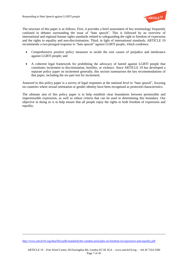

The structure of this paper is as follows. First, it provides a brief assessment of key terminology frequently confused in debates surrounding the issue of "hate speech". This is followed by an overview of international and regional human rights standards related to safeguarding the right to freedom of expression and the rights to equality and non-discrimination. Third, in light of international standards, ARTICLE 19 recommends a two-pronged response to "hate speech" against LGBTI people, which combines:

- Comprehensive positive policy measures to tackle the root causes of prejudice and intolerance against LGBTI people; and
- A coherent legal framework for prohibiting the advocacy of hatred against LGBTI people that constitutes incitement to discrimination, hostility, or violence. Since ARTICLE 19 has developed a separate policy paper on incitement generally, this section summarises the key recommendations of that paper, including the six-part test for incitement.

Annexed to this policy paper is a survey of legal responses at the national level to "hate speech", focusing on countries where sexual orientation or gender identity have been recognised as protected characteristics.

The ultimate aim of this policy paper is to help establish clear boundaries between permissible and impermissible expression, as well as robust criteria that can be used in determining this boundary. Our objective in doing so is to help ensure that all people enjoy the rights to both freedom of expression and equality.

 $\overline{a}$ 

<http://www.article19.org/data/files/pdfs/standards/the-camden-principles-on-freedom-of-expression-and-equality.pdf>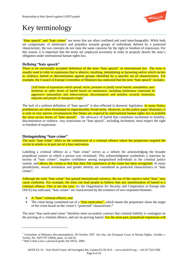

# Key terminology

"Hate speech" and "hate crimes" are terms that are often conflated and used interchangeably. While both are symptomatic of intolerance and prejudice towards groups of individuals defined by a protected characteristic, the two concepts do not raise the same concerns for the right to freedom of expression. For this reason, it is important that the terms are employed accurately in order to properly denote the state's obligation under international human rights law.

# **Defining "hate speech"**

There is no universally accepted definition of the term "hate speech" in international law. The term is usually used to refer to expression that is abusive, insulting, intimidating or harassing and/or which incites to violence, hatred or discrimination against groups identified by a specific set of characteristics. For example, the Council of Europe Committee of Ministers has indicated that the term "hate speech" includes:

[A]ll forms of expression which spread, incite, promote or justify racial hatred, xenophobia, anti-Semitism or other forms of hatred based on intolerance, including intolerance expressed by aggressive nationalism and ethnocentrism, discrimination and hostility towards minorities, migrants and people of immigrant origin.<sup>7</sup>

The lack of a uniform definition of "hate speech" is also reflected in domestic legislation. In many States, prohibitions are often formulated in impermissibly broad terms. However, as this policy paper illustrates, it is only in very narrow circumstances that States are *required* by international human rights law to prohibit the most severe forms of "hate speech" – the advocacy of hatred that constitutes incitement to hostility, discrimination or violence. Any restrictions on "hate speech", including incitement, must respect the right to freedom of expression.

# **Distinguishing "hate crime"**

The term "hate crime" refers to the commission of a criminal offence where the perpetrator targeted the victim in whole or in part out of a bias motivation.

Labelling a criminal offence as a "hate crime" serves as a vehicle for acknowledging the broader prejudicial context in which a person was victimised. This acknowledgment symbolises a rejection by society of "hate crimes", inspires confidence among marginalised individuals in the criminal justice system, and allows the victim to feel that their full experience of the crime has been recognised. In many jurisdictions, sexual orientation and gender identity are considered as protected characteristics in "hate crimes".

Although the term "hate crime" has gained international currency, the use of the emotive term "hate" may cause confusion. For example, the term can lead people to believe that any manifestation of hatred is a criminal offence. This is not the case. As the Organisation for Security and Cooperation in Europe (the OSCE) has indicated, "hate crimes" are characterised by the existence of two conjoined elements:

• A "base" criminal offence; and

 $\overline{a}$ 

The crime being committed out of a "bias motivation", which means the perpetrator chose the target of the crime based on the victim's "protected" characteristic.<sup>8</sup>

The term "bias motivated crime" therefore more accurately conveys that criminal liability is contingent on the proving of a criminal offence, and not on proving hatred. For the most part, prejudicial expression will

<sup>7</sup> Committee of Ministers Recommendation, 30 October 1997. See also, the European Court of Human Rights, *Gündüz v. Turkey*, No. 35071/97 (2004), paras. 22 and 43.

<sup>8</sup> Hate Crime Laws: a practical guide, the OSCE, 2009.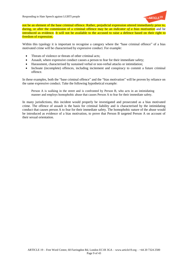

not be an element of the base criminal offence. Rather, prejudicial expression uttered immediately prior to, during, or after the commission of a criminal offence may be an *indicator of a bias motivation* and be introduced as evidence. It will not be available to the accused to raise a defence based on their right to freedom of expression.

Within this typology it is important to recognise a category where the "base criminal offence" of a bias motivated crime will be characterised by expressive conduct. For example:

- Threats of violence or threats of other criminal acts;
- Assault, where expressive conduct causes a person to fear for their immediate safety;
- Harassment, characterised by sustained verbal or non-verbal attacks or intimidation;
- Inchoate (incomplete) offences, including incitement and conspiracy to commit a future criminal offence.

In these examples, both the "base criminal offence" and the "bias motivation" will be proven by reliance on the same expressive conduct. Take the following hypothetical example:

Person A is walking in the street and is confronted by Person B, who acts in an intimidating manner and employs homophobic abuse that causes Person A to fear for their immediate safety.

In many jurisdictions, this incident would properly be investigated and prosecuted as a bias motivated crime. The offence of assault is the basis for criminal liability and is characterised by the intimidating conduct that causes person A to fear for their immediate safety. The homophobic nature of the abuse would be introduced as evidence of a bias motivation, to prove that Person B targeted Person A on account of their sexual orientation.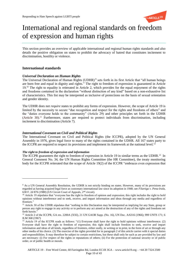

# International and regional standards on freedom of expression and human rights

This section provides an overview of applicable international and regional human rights standards and also details the positive obligation on states to prohibit the advocacy of hatred that constitutes incitement to discrimination, hostility or violence.

# **International standards**

# *Universal Declaration on Human Rights*

The Universal Declaration of Human Rights (UDHR)<sup>9</sup> sets forth in its first Article that "all human beings are born free and equal in dignity and rights." The right to freedom of expression is guaranteed in Article 19.<sup>10</sup> The right to equality is reiterated in Article 2, which provides for the equal enjoyment of the rights and freedoms contained in the declaration "without distinction of any kind" based on a non-exhaustive list of characteristics. This list may be interpreted as inclusive of protections on the basis of sexual orientation and gender identity.

The UDHR does not *require* states to prohibit any forms of expression. However, the scope of Article 19 is limited by the necessity to secure "due recognition and respect for the rights and freedoms of others" and the "duties everyone holds to the community" (Article 29) and other principles set forth in the UDHR (Article 30). <sup>11</sup> Furthermore, states are required to protect individuals from discrimination, including incitement to discrimination (Article 7).

# *International Covenant on Civil and Political Rights*

The International Covenant on Civil and Political Rights (the ICCPR), adopted by the UN General Assembly in 1976, gives legal force to many of the rights contained in the UDHR. All 167 states party to the ICCPR are required to respect its provisions and implement its framework at the national level.<sup>12</sup>

# *The right to freedom of expression and information*

l

The ICCPR guarantees the right to freedom of expression in Article 19 in similar terms as the UDHR.<sup>13</sup> In General Comment No. 34, the UN Human Rights Committee (the HR Committee), the treaty monitoring body for the ICCPR reiterated that the scope of Article 19(2) of the ICCPR "embraces even expression that

<sup>&</sup>lt;sup>9</sup> As a UN General Assembly Resolution, the UDHR is not strictly binding on states. However, many of its provisions are regarded as having acquired legal force as customary international law since its adoption in 1948; see *Filartiga v. Pena-Irala*, 630 F. 2d 876 (1980) (US Circuit Court of Appeals, 2nd circuit).

<sup>&</sup>lt;sup>10</sup> Article 19 stipulates that "everyone has the right to freedom of opinion and expression; this right includes the right to hold opinions without interference and to seek, receive, and impart information and ideas through any media and regardless of frontiers."

<sup>&</sup>lt;sup>11</sup> Article 30 of the UDHR stipulates that "nothing in this Declaration may be interpreted as implying for any State, group or person any right to engage in any activity or to perform any act aimed at the destruction of any of the rights and freedoms set forth herein."

<sup>&</sup>lt;sup>12</sup> Article 2 of the ICCPR, GA res. 2200A (XXI), 21 UN GAOR Supp. (No. 16), UN Doc. A/6316 (1966); 999 UNTS 171; 6 ILM 368 (1967)

<sup>&</sup>lt;sup>13</sup> Article 19 of the ICCPR reads as follows: "(1) Everyone shall have the right to hold opinions without interference. (2) Everyone shall have the right to freedom of expression; this right shall include freedom to seek, receive and impart information and ideas of all kinds, regardless of frontiers, either orally, in writing or in print, in the form of art or through any other media of his choice. (3) The exercise of the rights provided for in paragraph 2 of this article carries with it special duties and responsibilities. It may therefore be subject to certain restrictions, but these shall only be such as are provided by law and are necessary: (i) For respect of the rights or reputations of others; (ii) For the protection of national security or of public order, or of public health or morals.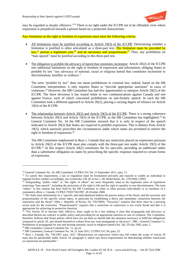

may be regarded as deeply offensive."<sup>14</sup> There is no right under the ICCPR not to be offended, even where expression is prejudicial towards a person based on a protected characteristic.

Any limitation on the right to freedom of expression must meet the following criteria:

- All limitations must be justified according to Article 19(3) of the ICCPR: Determining whether a limitation is justified is often articulated as a three-part test. The limitation must be provided by law,<sup>15</sup> pursue a legitimate aim,<sup>16</sup> and be necessary and proportionate.<sup>17</sup> Thus, any prohibition on "hate speech" must be justified according to this three-part test.
- The obligation to prohibit the advocacy of hatred that constitutes incitement: Article 20(2) of the ICCPR sets additional limitations on the right to freedom of expression and information, obliging States to prohibit by law "any advocacy of national, racial or religious hatred that constitutes incitement to discrimination, hostility or violence."

The term "prohibit by law" does not mean prohibitions in criminal law; indeed, based on the HR Committee interpretation, it only requires States to "provide appropriate sanctions" in cases of violations.<sup>18</sup> However, the HR Committee has had few opportunities to interpret Article 20(2) of the ICCPR. The three decisions it has issued relate to two communications against Canada and one against France, each of which concerned prohibitions on anti-Semitic speech. In each the HR Committee took a different approach to Article 20(2), placing a varying degree of reliance on Article 19(3) of the ICCPR.

 The relationship between Article 20(2) and Article 19(3) of the ICCPR: There is a strong coherence between Articles 20(2) and Article 19(3) of the ICCPR, as the HR Committee has highlighted.<sup>19</sup> In General Comment No. 34 the HR Committee stressed that it is only in respect of the speech indicated in Article 20(2) that States are *required* to prohibit expression. This is distinct from Article 19(3), which narrowly prescribes the circumstances under which states are *permitted* to restrict the right to freedom of expression.<sup>20</sup>

The HR Committee emphasised in *Ross v. Canada* that any restriction placed on expression pursuant to Article 20(2) of the ICCPR must also comply with the three-part test under Article 19(3) of the ICCPR.<sup>21</sup> In this respect Article 20(2) constitutes the *lex specialis*, providing an *additional* rather than a *substitutive* obligation on states by prescribing the specific response required to certain forms of expression.

l

<sup>&</sup>lt;sup>14</sup> General Comment No. 34, HR Committee, CCPR/C/GC/34, 12 September 2011, para. 11.

<sup>&</sup>lt;sup>15</sup> To satisfy this requirement, a law or regulation must be formulated precisely and enacted to enable an individual to regulate his/her conduct accordingly, see *Leonardus J.M. de Groot v. the Netherlands*, No. 578/1994, (1995)

<sup>&</sup>lt;sup>16</sup> Safeguarding "public order" or "the rights of others" are most frequently cited as the legitimate aims of legislation restricting "hate speech", including the protection of the right to life and the right to equality or non-discrimination. The term "others" in this context has been held by the HR Committee to relate to other persons individually or as members of a community (*Ross v. Canada,* CCPR/C/70/D/736/1997, 26 October 2000.

<sup>&</sup>lt;sup>17</sup> The State must demonstrate in a "specific and individualised fashion the precise nature of the threat, and the necessity and proportionality of the specific action taken, in particular by establishing a direct and immediate connection between the expression and the threat" (*Shin v. Republic of Korea*, No. 926/2000). "Necessity" requires that there must be a pressing social need for the restriction. "Proportionality" requires that a restriction on expression is not overly broad and that it is appropriate for achieving its protective function.

<sup>&</sup>lt;sup>18</sup> "For Article 20 to become fully effective, there ought to be a law making it clear that propaganda and advocacy as described therein are contrary to public policy and providing for an appropriate sanction in case of violation. The Committee, therefore, believes that States parties which have not yet done so should take the measures necessary to fulfil the obligations contained in article 20, and should themselves refrain from any such propaganda or advocacy", HRC, General Comment 11, Prohibition of propaganda for war and inciting national, racial or religious hatred (Art. 20), 29 July 1983, para. 2. <sup>19</sup> HR Committee, General Comment No. 11, *op.cit.*

<sup>20</sup> HR Committee, General Comment No. 34, 21 June 2011, CCPR/C/GC/34, para. 52.

<sup>21</sup> *Ross v. Canada*, No. 736/1997, para. 10.6: "[R]estrictions on expression which may fall within the scope of Article 20 must also be permissible under Article 19, paragraph 3, which lays down requirements for determining whether restrictions on expression are permissible."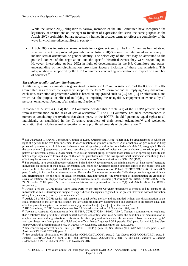

While the Article 20(2) obligation is narrow, members of the HR Committee have recognised the legitimacy of restrictions on the right to freedom of expression that serve the same purpose as the Article 20(2) prohibition but are necessarily framed in broader terms to reflect the complexity of the ways in which prejudice manifest in society.<sup>22</sup>

• Article 20(2) as inclusive of sexual orientation or gender identity: The HR Committee has not stated whether or not the protected grounds under Article 20(2) should be interpreted expansively to include sexual orientation or gender identity. The selectivity of the text may be attributed to the political context of the negotiations and the specific historical events they were responding to. However, interpreting Article 20(2) in light of developments in the HR Committee and states' understanding of non-discrimination provisions favours inclusion of these characteristics. This interpretation is supported by the HR Committee's concluding observations in respect of a number of countries.<sup>23</sup>

#### *The right to equality and non-discrimination*

 $\overline{a}$ 

Additionally, non-discrimination is guaranteed by Article  $2(1)^{24}$  and in Article 26<sup>25</sup> of the ICCPR. The HR Committee has affirmed the expansive scope of the term "discrimination" as implying "any distinction, exclusion, restriction or preference which is based on any ground such as […] sex […] or other status, and which has the purpose or effect of nullifying or impairing the recognition, enjoyment or exercise by all persons, on an equal footing, of all rights and freedoms."<sup>26</sup>

In *Toonen v. Australia* (1994) the HR Committee decided that Article 2(1) of the ICCPR protects people from discrimination on the basis of sexual orientation.<sup>27</sup> The HR Committee has since recommended in numerous concluding observations that States party to the ICCPR should "guarantee equal rights to all individuals, as established in the Covenant, regardless of their sexual orientation"<sup>28</sup> and welcomed legislation that includes sexual orientation among prohibited grounds of discrimination.<sup>29</sup>

<sup>22</sup> See *Faurisson v. France,* Concurring Opinion of Evatt, Kretzmer and Klein: "There may be circumstances in which the right of a person to be free from incitement to discrimination on grounds of race, religion or national origins cannot be fully protected by a narrow, explicit law on incitement that falls precisely within the boundaries of article 20, paragraph 2. This is the case where [...] statements that do not meet the strict legal criteria of incitement can be shown to constitute part of a pattern of incitement against a given racial, religious or national group, or where those interested in spreading hostility and hatred adopt sophisticated forms of speech that are not punishable under the law against racial incitement, even though their effect may be as pernicious as explicit incitement, if not more so." Communication No. 550/1993 (1996).

<sup>&</sup>lt;sup>23</sup> For example, in its concluding observations on Poland, the HR recommended the criminalisation of "hate speech" targeting individuals on account of their sexual orientation, and called for awareness raising activities aimed at the police force and wider public to be intensified; see HR Committee, concluding observations on Poland, CCPR/C/POL/CO/6, 17 July 2009, para. 8. Also, in its concluding observations on Russia, the Committee recommended "effective protection against violence and discrimination" on the basis of sexual orientation including through "the prohibition of discrimination on grounds of sexual orientation" but stopped short of calling for criminalisation; Concluding observations on Russia, CCPR/C/RUS/CO/6, 24 November 2009, para. 27. Both recommendations were premised on Article 2(1) and Article 26 of the ICCPR respectively.

<sup>&</sup>lt;sup>24</sup> Article 2 of the ICCPR reads: "Each State Party to the present Covenant undertakes to respect and to ensure to all individuals within its territory and subject to its jurisdiction the rights recognised in the present Covenant, without distinction of any kind, such as […] sex […] or other status."

<sup>&</sup>lt;sup>25</sup> Article 26 of the ICCPR reads: "All persons are equal before the law and are entitled without any discrimination to the equal protection of the law. In this respect, the law shall prohibit any discrimination and guarantee to all persons equal and effective protection against discrimination on any ground such as […] sex […] or other status."

<sup>26</sup> HR Committee, ICCPR General Comment No. 18: Non-discrimination, 10 November 1989, para. 7.

<sup>27</sup> *Toonen v. Australia*, Communication No. 488/199, CCPR/C/50/D/488/1992 (1994). Toonen's communication explained that Australia's laws prohibiting sexual contact between consenting adult men "created the conditions for discrimination in employment, constant stigmatisation, vilification, threats of physical violence and the violation of basic democratic rights" and contributed to a "campaign of official and unofficial hatred" against LGBT people. *Ibid*, para. 2.4 and 2.6. See also: *Young v Australia*, communication No. 941/2000; *X v. Columbia*, communication No. 1361/2005.

<sup>&</sup>lt;sup>28</sup> See concluding observations on Chile (CCPR/C/CHL/CO/5), para. 16; San Marino (CCPR/C/SMR/CO/2), para. 7; and Austria (CCPR/C/AUT/CO/4), para. 8

<sup>&</sup>lt;sup>29</sup> See concluding observations on El Salvador (CCPR/C/SLV/CO/6), para. 3 (c); Greece (CCPR/CO/83/GRC), para. 5; Finland (CCPR/CO/82/FIN), para. 3 (a); and Slovakia (CCPR/CO/78/SVK), para. 4. See also *Fedotova v. Russian Federation*, CCPR/C/106/D/1932/2010, 19 November 2012.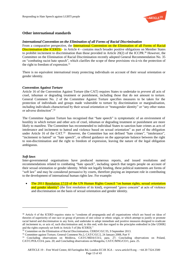

# **Other international standards**

#### *International Convention on the Elimination of all Forms of Racial Discrimination*

From a comparative perspective, the International Convention on the Elimination of all Forms of Racial Discrimination (the ICERD) – in Article 4 - contains much broader positive obligations on Member States to prohibit incitement to discrimination than those provided in Article 20(2) of the ICCPR.<sup>30</sup> However, the Committee on the Elimination of Racial Discrimination recently adopted General Recommendation No. 35 on "combating racist hate speech", which clarifies the scope of these provisions vis-à-vis the protection of the right to freedom of expression.<sup>31</sup>

There is no equivalent international treaty protecting individuals on account of their sexual orientation or gender identity.

#### *Convention Against Torture*

Article 16 of the Convention Against Torture (the CAT) requires States to undertake to *prevent* all acts of cruel, inhuman or degrading treatment or punishment, including those that do not amount to torture. General Comment No. 2 of the Committee Against Torture specifies measures to be taken for the protection of individuals and groups made vulnerable to torture by discrimination or marginalisation, including individuals characterised by their sexual orientation or "transgender identity" or "any other status or adverse distinction".<sup>32</sup>

The Committee Against Torture has recognised that "hate speech" is symptomatic of an environment of hostility in which torture and other acts of cruel, inhuman or degrading treatment or punishment are more likely to manifest. The Committee has recommended to individual States to sanction hate crimes as acts of intolerance and incitement to hatred and violence based on sexual orientation" as part of the obligation under Article 16 of the CAT.<sup>33</sup> However, the Committee has not defined "hate crimes", "intolerance", "incitement to hatred" or "hate speech", or offered guidance on the appropriate balance between the right to non-discrimination and the right to freedom of expression, leaving the nature of the legal obligation ambiguous.

#### *Soft laws*

 $\overline{a}$ 

Inter-governmental organisations have produced numerous reports, and issued resolutions and recommendations related to combating "hate speech", including speech that targets people on account of their sexual orientation or gender identity. While not legally binding, these political statements are forms of "soft law" and may be considered persuasive by courts, therefore playing an important role in contributing to the development of international human rights law. For example:

• The 2011 Resolution 17/19 of the UN Human Rights Council "on human rights, sexual orientation and gender identity" (the first resolution of its kind), expressed "grave concern" at acts of violence and discrimination on the basis of sexual orientation and gender identity.

<sup>&</sup>lt;sup>30</sup> Article 4 of the ICERD requires states to "condemn all propaganda and all organisations which are based on ideas of theories of superiority of one race or group of persons of one colour or ethnic origin, or which attempt to justify or promote racial hatred and discrimination in any form, and undertake to adopt immediate and positive measures designed to eradicate all incitement to, or acts of, such discrimination and, to this end, with due regard to the principles embodied in [the UDHR] and the rights expressly set forth in Article 5 of [the ICERD]."

<sup>&</sup>lt;sup>31</sup> Committee on the Elimination of Racial Discrimination, CERD/C/GC/35, 9 September 2013.

<sup>&</sup>lt;sup>32</sup> Committee against Torture, General Comment No.2, CAT/C/GC/2, 24 January 2008, Part V

<sup>&</sup>lt;sup>33</sup> Concluding observations on Moldova, CAT/C/MDA/CO/2, para. 27; Concluding observations on Poland, CAT/C/POL/CO/4, para. 20; and Concluding observations on Mongolia, CAT/C/MNG/CO/1, para. 25.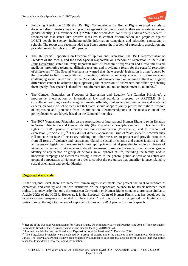

- Following Resolution 17/19, the UN High Commissioner for Human Rights released a study to document discriminatory laws and practices against individuals based on their sexual orientation and gender identity (17 November 2011).<sup>34</sup> While the report does not directly address "hate speech", it recommends that states take positive measures to combat discrimination and prejudice against LGBTI people in society, including public information campaigns and education campaigns in schools. The report also recommended that States ensure the freedom of expression, association and peaceful assembly rights of LGBT people.
- The UN Special Rapporteur on Freedom of Opinion and Expression, the OSCE Representative on Freedom of the Media, and the OAS Special Rapporteur on Freedom of Expression in their 2006 Joint Declaration stated the "very important role" of freedom of expression and a free and diverse media in "promoting tolerance, diffusing tensions and providing a forum for the peaceful resolution of differences."<sup>35</sup> The Special Mechanisms warned that "hate speech" legislation is often "abused by the powerful to limit non-traditional, dissenting, critical, or minority voices, or discussion about challenging social issues" and that the "resolution of tensions based on genuine cultural or religious differences cannot be achieved by suppressing the expression of differences but rather by debating them openly. Free speech is therefore a requirement for, and not an impediment to, tolerance."
- The Camden Principles on Freedom of Expression and Equality (the Camden Principles), a progressive interpretation of international law and standards prepared by ARTICLE 19 in consultation with high-level inter-governmental officials, civil society representatives and academic experts, elaborate on set of measures that states should adopt to jointly protect the right to freedom of expression and protection from discrimination. Recommendations in the next section of this policy document are largely based on the Camden Principles.
- The 2007 Yogyakarta Principles on the Application of International Human Rights Law in Relation to Sexual Orientation and Gender Identity (the Yogyakarta Principles) set out in clear terms the rights of LGBT people to equality and non-discrimination (Principle 2), and to freedom of expression (Principle 19).<sup>36</sup> They do not directly address the issue of "hate speech", however they call on states to take all necessary policing and other measures to prevent and provide protection from all forms of violence and harassment related to sexual orientation and gender identity; to take all necessary legislative measures to impose appropriate criminal penalties for violence, threats of violence, incitement to violence and related harassment, based on the sexual orientation or gender identity of any person or group of persons, in all spheres of life, including the family; and to undertake campaigns of awareness-raising, directed to the general public as well as to actual and potential perpetrators of violence, in order to combat the prejudices that underlie violence related to sexual orientation and gender identity.

# **Regional standards**

 $\overline{a}$ 

At the regional level, there are numerous human rights instruments that protect the right to freedom of expression and equality and that are instructive on the appropriate balance to be struck between these rights. It is noteworthy that only the American Convention on Human Rights contains a provision similar to Article 20(2) of the ICCPR. However, it is the European Court of Human Rights that has developed the most extensive jurisprudence related to "hate speech" and has explicitly recognised the legitimacy of restrictions on the right to freedom of expression to protect LGBTI people from such speech.

<sup>&</sup>lt;sup>34</sup> Report of the UN High Commissioner for Human Rights, Discriminatory Laws and Practices and Acts of Violence against Individuals Based on their Sexual Orientation and Gender Identity, A/HRC/19/41.

<sup>35</sup> International Mechanisms for Freedom of Expression, Joint Declaration of 20 December 2006.

<sup>&</sup>lt;sup>36</sup> The Yogyakarta Principles were developed by a group of experts under the auspices of the International Committee of Jurists. The Yogyakarta Principles have been endorsed by a number of countries that also use them to guide their own policy responses to incidents of violence and discrimination.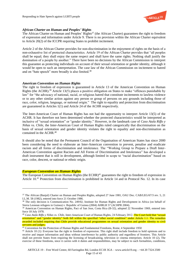

# *African Charter on Human and Peoples' Rights*

The African Charter on Human and Peoples' Rights<sup>37</sup> (the African Charter) guarantees the right to freedom of expression and information under Article 9. There is no provision within the African Charter equivalent to Article 20(2) of the ICCPR requiring States to prohibit incitement.

Article 2 of the African Charter provides for non-discrimination in the enjoyment of rights on the basis of a non-exhaustive list of protected characteristics. Article 19 of the African Charter provides that "all peoples shall be equal; they shall enjoy the same respect and shall have the same rights. Nothing shall justify the domination of a people by another." There have been no decisions by the African Commission to interpret this guarantee as protecting individuals on account of their sexual orientation or gender identity, although it would be open to such an interpretation. The case law of the African Commission on incitement to hatred and on "hate speech" more broadly is also limited.<sup>38</sup>

#### *American Convention on Human Rights*

The right to freedom of expression is guaranteed in Article 13 of the American Convention on Human Rights (the ACHR).<sup>39</sup> Article 13(5) places a positive obligation on States to make "offences punishable by law" for "the advocacy of national, racial, or religious hatred that constitute incitements to lawless violence or to any other similar action against any person or group of persons on any grounds including those of race, color, religion, language, or national origin." The right to equality and protection from discrimination are guaranteed in Articles 1(1) and Article 24 of the ACHR respectively.

The Inter-American Court of Human Rights has not had the opportunity to interpret Article 13(5) of the ACHR. It has therefore not been determined whether the protected characteristics would be interpreted as inclusive of "sexual orientation" or "gender identity." However, in the landmark case of *Caso Atala Riffo y Niñas* vs. *Chile*, the Inter-American Court of Human Rights ruled categorically that discrimination on the basis of sexual orientation and gender identity violates the right to equality and non-discrimination as contained in the ACHR.<sup>40</sup>

It should also be noted that the Permanent Council of the Organisation of American States has since 2000 been considering the need to elaborate an Inter-American convention to prevent, penalise and eradicate racism and all forms of discrimination and intolerance. The "Working Group to Prepare a Draft Inter-American Convention against Racism and All Forms of Discrimination and Intolerance" has developed a draft instrument that is still in development, although limited in scope to "racial discrimination" based on race, color, descent, or national or ethnic origin.

#### *European Convention on Human Rights*

l

The European Convention on Human Rights (the ECHR)<sup>41</sup> guarantees the right to freedom of expression in Article 10. <sup>42</sup> Protection from discrimination is prohibited in Article 14 and in Protocol No. 12. In its case

<sup>&</sup>lt;sup>37</sup> The African (Banjul) Charter on Human and Peoples Rights, adopted 27 June 1981, OAU Doc. CAB/LEG/67/3 rev. 5, 21 I.L.M. 58 (1982), entered into force 21 October 1986.

<sup>&</sup>lt;sup>38</sup> The only decision is Communication No. 249/02, Institute for Human Rights and Development in Africa (on behalf of Sierra Leonean refugees in Guinea) v. Republic of Guinea (2004) AHRLR 57 (ACHPR 2004).

<sup>39</sup> American Convention on Human Rights, Pact of San Jose, Costa Rica (B-32), adopted 22 November 1969, entered into force 18 July 1978.

<sup>40</sup> *Caso Atala Riffo y Niñas vs. Chile*, Inter-American Court of Human Rights, 24 February 2012. The Court held that "sexual orientation" and "gender identity" both fall within the specified "other social condition" under Article 1.1. The remedies awarded included requiring that Chile provide educational programmes on sexual orientation and gender identity to civil servants and judges.

<sup>&</sup>lt;sup>41</sup> Convention for the Protection of Human Rights and Fundamental Freedoms, Rome, 4 September 1950

<sup>&</sup>lt;sup>42</sup> Article 10 (1): Everyone has the right to freedom of expression. This right shall include freedom to hold opinions and to receive and impart information and ideas without interference by public authority and regardless of frontiers. This Article shall not prevent States from requiring the licensing of broadcasting, television or cinema enterprises; Article 10 (2), The exercise of these freedoms, since it carries with it duties and responsibilities, may be subject to such formalities, conditions,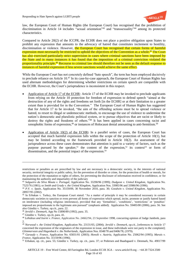

law, the European Court of Human Rights (the European Court) has recognised that the prohibition of discrimination in Article 14 includes "sexual orientation"<sup>43</sup> and "transsexuality"<sup>44</sup> among its protected characteristics.

Compared to Article 20(2) of the ICCPR, the ECHR does not place a positive obligation upon States to prohibit any expression that amounts to the advocacy of hatred that constitutes incitement to hostility, discrimination or violence. However, the European Court has recognised that certain forms of harmful expression must necessarily be restricted to uphold the objectives of the Convention as a whole.<sup>45</sup> The Court has also exercised particularly strict supervision in cases where criminal sanctions have been imposed by the State and in many instances it has found that the imposition of a criminal conviction violated the proportionality principle.<sup>46</sup> Recourse to criminal law should therefore not be seen as the default response to instances of harmful expression if less severe sanctions would achieve the same effect.

While the European Court has not concretely defined "hate speech", the term has been employed decisively to preclude reliance on Article 10.<sup>47</sup> In its case-by-case approach, the European Court of Human Rights has used alternate methodologies for determining whether restrictions on certain speech are compatible with the ECHR. However, the Court's jurisprudence is inconsistent in this respect.

- Application of Article 17 of the ECHR*:* Article 17 of the ECHR may be invoked to preclude applicants from relying on the Article 10 protection for freedom of expression to defend speech "aimed at the destruction of any of the rights and freedoms set forth [in the ECHR] or at their limitation to a greater extent than is provided for in the Convention." The European Court of Human Rights has suggested that for Article 17 to be invoked, "the aim of the offending actions must be to spread violence or hatred, to resort to illegal or undemocratic methods, to encourage the use of violence to undermine the nation's democratic and pluralistic political system, or to pursue objectives that are racist or likely to destroy the rights and freedoms of others."<sup>48</sup> It has been applied in cases concerning racist and xenophobic forms of expression,<sup>49</sup> or instances of Holocaust denial amounting to anti-Semitism.<sup>50</sup>
- Application of Article 10(2) of the ECHR**:** In a parallel series of cases, the European Court has accepted that much harmful expression falls within the scope of the protection of Article 10(1), but may be limited according to the framework provided in Article 10(2). An assessment of the jurisprudence across these cases demonstrates that attention is paid to a variety of factors, such as the purpose pursued by the speaker,<sup>51</sup> the content of the expression,<sup>52</sup> its context<sup>53</sup> or form of dissemination, and the potential impact of the expression.<sup>54</sup>

 $\overline{a}$ 

restrictions or penalties as are prescribed by law and are necessary in a democratic society, in the interests of national security, territorial integrity or public safety, for the prevention of disorder or crime, for the protection of health or morals, for the protection of the reputation or rights of others, for preventing the disclosure of information received in confidence, or for maintaining the authority and impartiality of the judiciary

<sup>43</sup> *Salgueiro da Silva Mouta v. Portugal*, Application No. 33290/96 (1999); *Dudgeon v. United Kingdom,* Application No. 7525/76 (1981); or *Smith and Grady v. the United Kingdom*, Application Nos. 33985/96 and 33986/96 (1996).

<sup>44</sup> *P.V. v. Spain,* Application No. 35159/09, 30 November 2010, para. 30; *Goodwin v. United Kingdom*, Application No. 28957/95 (2002).

<sup>&</sup>lt;sup>45</sup> In Erbakan v. Turkey, the European Court stated: "As a matter of principle it may be considered necessary in certain democratic societies to sanction or even prevent all forms of expression which spread, incite, promote or justify hatred based on intolerance (including religious intolerance), provided that any 'formalities', 'conditions', 'restrictions' or 'penalties' imposed are proportionate to the legitimate aim pursued" (emphasis added); Application No. 59405/00 (2006), para. 56. See also Gündüz v. Turkey, op.cit., para. 22.

<sup>46</sup> *Jersild v. Denmark*, App No 15890/89 (1992), para. 35.

<sup>47</sup> Gündüz v. Turkey, op.cit, para. 41.

<sup>48</sup> *Lehideux and Isorni v. France*, Application No. 24662/94, 23 September 1998, concurring opinion of Judge Jambrek, para 2.

<sup>49</sup> *Norwood v. the United Kingdom*, Application No. 23131/03, (2004); *Jersild v. Denmark*, *op.cit.*, [references to Article 17 concerned the expression of the originators of the expression in issue, and these individuals were not party to the complaint]; *Glimmerveen and Hagenback v. the Netherlands*, Application Nos. 8348/78 and 8406/78, (1979).

<sup>50</sup> *Garaudy v. France*, Application No. 65831/01 (2003); *Honsik v. Austria*, Application No. 25062/94 (1995); *Marais v. France*, Application No. 31159/96 (1996).

<sup>51</sup> Erbakan, op. cit., para. 55; Gündüz v. Turkey, op. cit., para. 37; or Pedersen and Baadsgaard v. Denmark, No. 49017/99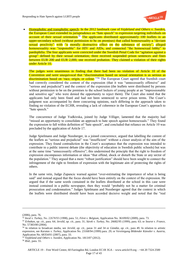

 Homophobic and transphobic speech: In the 2012 landmark case of *Vejdeland and Others v. Sweden***,**  the European Court extended its jurisprudence on "hate speech" to expression targeting individuals on account of their sexual orientation.<sup>55</sup> The applicants distributed approximately 100 leaflets in an upper-secondary school (without permission to be on premises) that called homosexuality a "deviant sexual proclivity" with "a morally destructive effect on the substance of society", alleged homosexuality was "responsible" for HIV and AIDs, and connected "the homosexual lobby" to paedophilia. The four applicants were convicted under the Swedish Penal Code for "agitation against a group" defined by their sexual orientation; three received suspended prison sentences and fines between EUR 200 and EUR 2,000, one received probation. They claimed a violation of their rights under Article 10.

The judges were unanimous in finding that there had been no violation of Article 10 of the Convention and were unequivocal that "discrimination based on sexual orientation is as serious as discrimination based on 'race, origin, or colour.<sup>1156</sup> The European Court agreed that Swedish court had correctly considered the content of the expression (that it was "unnecessarily offensive" and "serious and prejudicial") and the context of the expression (the leaflets were distributed by persons without permission to be on the premises to the school lockers of young people at an "impressionable" and sensitive age" who were denied the opportunity to reject them). The Court also noted that the applicants had only been fined and had not been sentenced to serve prison terms. The Court's judgment was accompanied by three concurring opinions, each differing in the approach taken to finding no violation of the ECHR, revealing a lack of coherence in the European Court's approach to "hate speech."

The concurrence of Judge Yudkivska, joined by Judge Villiger, lamented that the majority had "missed an opportunity to consolidate an approach to hate speech against homosexuals." They found the expression to fall within definition of "hate speech", and concluded that reliance on Article 10 was precluded by the application of Article 17.

Judge Spielmann and Judge Nussberger, in a joined concurrence, argued that labelling the content of the leaflets as "serious and prejudicial" was "insufficient" without a closer analysis of the aim of the expression. They found contradiction in the Court's acceptance that the expression was intended to contribute to a public interest debate (the objectivity of education in Swedish public schools) but was at the same time "unnecessarily offensive"; this undermined the principle that the right to freedom of expression encompasses information or ideas "that offend, shock or disturb the State or any sector of the population." They argued that a more "robust justification" should have been sought to connect the infringement of the right to freedom of expression with the legitimate aim of protecting the rights of others.

In the same vein, Judge Zupancic warned against "over-estimating the importance of what is being said" and instead argued that the focus should have been entirely on the context of the expression. He argued that if the same words contained in the leaflets distributed at the school in this case were instead contained in a public newspaper, then they would "probably not be a matter for criminal prosecution and condemnation." Judges Spielmann and Nussberger agreed that the context in which the leaflets were distributed should have been accorded decisive weight and noted that the "real

 $\overline{a}$ 

<sup>53</sup> *Erbakan*, *op. cit.*, para. 64; *Jersild*, *op. cit.*, para. 31; *Sürek v. Turkey*, No. 26682/95 (1999), para. 63; or *Seurot v. France*, No. 57383/00 (2004).

<sup>(2006),</sup> para. 76.

<sup>52</sup> *Incal v. Turkey*, No. 22678/93 (1998), para. 51; *Féret v. Belgium*, Application No. 36109/02 (2009), para. 73.

<sup>54</sup> In relation to broadcast media, see *Jersild*, *op. cit.*, paras 31 and 34 or *Gündüz*, *op. cit.*, para 49. In relation to artistic expression, see *Karatas v. Turkey*, Application No. 23168/94 (1999) para. 29; or *Vereinigung Bildender Künstler v. Austria*, Application No. 68354/01 (2007), para. 33.

<sup>55</sup> *Vejdeland and Others v. Sweden*, Application No. 1813/07 (2012).

<sup>56</sup> *Ibid.,* para. 55.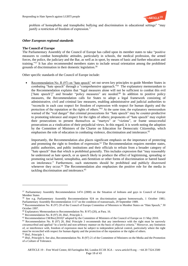

problem of homophobic and transphobic bullying and discrimination in educational settings" "may justify a restriction of freedom of expression."

### *Other European regional standards*

#### **The Council of Europe**

The Parliamentary Assembly of the Council of Europe has called upon its member states to take "positive measures to combat homophobic attitudes, particularly in schools, the medical profession, the armed forces, the police, the judiciary and the Bar, as well as in sport, by means of basic and further education and training." <sup>57</sup> It has also recommended members states to include sexual orientation among the prohibited grounds of discrimination in their domestic legislation. 58

Other specific standards of the Council of Europe include:

 Recommendation No. R (97) on "hate speech" set out seven key principles to guide Member States in combating "hate speech" through a "comprehensive approach."<sup>59</sup> The explanatory memorandum to the Recommendation explains that "legal measures alone will not be sufficient to combat this evil ['hate speech']" and broader "policy measures" are needed.<sup>60</sup> In addition to positive policy measures, the Recommendation calls for States to adopt a legal framework consisting of administrative, civil and criminal law measures, enabling administrative and judicial authorities to "reconcile in each case respect for freedom of expression with respect for human dignity and the protection of the reputation or the rights of others.<sup>361</sup> At the same time, the explanatory memorandum warned of the "real danger" that criminal prosecutions for "hate speech" may be counter-productive to promoting tolerance and respect for the rights of others; proponents of "hate speech" may exploit their prosecutions to present themselves as "martyrs" or "victims", or frame unsuccessful prosecutions as a vindication of their prejudicial views. In this regard, it is worth noting the adoption by the Committee of Ministers of the Charter on Education for Democratic Citizenship, which emphasises the role of education in combating violence, discrimination and intolerance. $62$ 

Importantly, the Recommendation also places significant emphasis on the importance of protecting and promoting the right to freedom of expression.<sup>63</sup> The Recommendation requires member states, public authorities, and public institutions and their officials to refrain from a broader category of "hate speech" than that which is prohibited generally. This includes expression that "may reasonably be understood as hate speech, or as speech likely to produce the effect of legitimising, spreading or promoting racial hatred, xenophobia, anti-Semitism or other forms of discrimination or hatred based on intolerance." Furthermore, such statements should be prohibited and publicly disavowed whenever they occur.<sup>64</sup> The Recommendation also emphasises the positive role for the media in tackling discrimination and intolerance.<sup>65</sup>

 $\overline{a}$ 

<sup>57</sup> Parliamentary Assembly Recommendation 1474 (2000) on the Situation of lesbians and gays in Council of Europe Member States

<sup>58</sup> See e.g. Parliamentary Assembly Recommendation 924 on discrimination against homosexuals, 1 October 1981; Parliamentary Assembly Recommendation 1117 on the condition of transsexuals, 29 September 1989.

<sup>59</sup> Recommendation No. R (97) 20 of the Council of Europe Committee of Ministers to Member States on "Hate Speech," 30 October 1997.

<sup>60</sup> Explanatory Memorandum to Recommendation No. R 97) (20), at Para. 16.

<sup>61</sup> Recommendation No. R (97) 20, *Ibid.,* Principle 2.

 $62$  Recommendation CM/Rec(2010)7 adopted by the Committee of Ministers of the Council of Europe on 11 May 2010.

<sup>63</sup> Recommendation No. R (97) 20, *Ibid.* Principle 3 recommends that any interference with the right must be narrowly circumscribed and applied "in a lawful and non-arbitrary manner on the basis of objective criteria." Moreover, any limitation of, or interference with, freedom of expression must be subject to independent judicial control, particularly where the right must be reconciled with respect for human dignity and the protection of the reputation or the rights of others. <sup>64</sup> *Ibid.,* Principle 1.

<sup>65</sup> *Ibid.,* Principle 6. See also, Recommendation No. R (97) 21 of the Committee of Ministers on the Media and the Promotion of a Culture of Tolerance.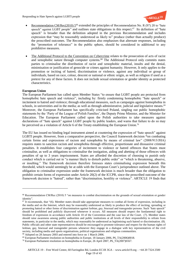

- Recommendation CM/Rec(2010)  $5^{66}$  extended the principles of Recommendation No. R (97) 20 to "hate speech" against LGBT people" and outlines state obligations in this respect.<sup>67</sup> Its definition of "hate speech" is broader than the definition adopted in the previous Recommendation and includes expression that "may be reasonably understood as likely to" produce (rather than actually produce) the proscribed outcomes. The Recommendation also emphasises that alternate responses, including the "promotion of tolerance" in the public sphere, should be considered in additional to any prohibitive measures.
- The Additional Protocol to the Convention on Cybercrime relates to the prosecution of acts of racist and xenophobic nature through computer systems.<sup>68</sup> The Additional Protocol only commits states parties to criminalise the distribution of racist and xenophobic material, insults and the denial, minimisation or justification of genocide or crimes against humanity. However, It only applies to the promotion or inciting of hatred, discrimination or violence, against any individual or group of individuals, based on race, colour, descent or national or ethnic origin, as well as religion if used as a pretext for any of these factors. It does not include sexual orientation or gender identity as protected characteristics.

# **European Union**

l

The European Parliament has called upon Member States "to ensure that LGBT people are protected from homophobic hate speech and violence", including by: firmly condemning homophobic "hate speech" or incitement to hatred and violence; through educational measures, such as campaigns against homophobia in schools, in universities and in the media; as well as through administrative, judicial and legislative means.<sup>69</sup> Moreover, the European Parliament has specifically criticised Poland, singling out public homophobic statements by the 'Party of the League of Polish Families', the Deputy Prime Minister, and the Minister for Education. The European Parliament called upon the Polish authorities to take measures against declarations of "hate speech" against LGBT people by public leaders, and warns that failure to do so may be perceived as a violation of Article 6 of the Treaty establishing the European Union.<sup>70</sup>

The EU has issued no binding legal instrument aimed at countering the expression of "hate speech" against LGBTI people. However, from a comparative perspective, the Council framework decision **"**on combating certain forms and expressions of racism and xenophobia by means of criminal law" (2008/913/JHA) requires states to sanction racism and xenophobia through effective, proportionate and dissuasive criminal penalties. It establishes four categories of incitement to violence or hatred offences that States must criminalise, as well as obligations to criminalise the instigation, aiding and abetting of those offences with penalties of up to 3 years imprisonment. States are afforded the discretion of choosing to punish only conduct which is carried out in "a manner likely to disturb public order" or "which is threatening, abusive, or insulting." The framework decision therefore foresees states criminalising expression beneath this threshold, which would seemingly be at odds with the European Court's jurisprudence outlined above. The obligation to criminalise expression under the framework decision is much broader than the obligation to prohibit certain forms of expression under Article 20(2) of the ICCPR, since the proscribed outcome of the framework decision is "hatred", rather than "discrimination, hostility or violence". ARTICLE 19 finds that

<sup>66</sup> Recommendation CM/Rec (2010) 5 "on measures to combat discrimination on the grounds of sexual orientation or gender identity".

 $67$  It recommends, that " $(6)$ . Member states should take appropriate measures to combat all forms of expression, including in the media and on the Internet, which may be reasonably understood as likely to produce the effect of inciting, spreading or promoting hatred or other forms of discrimination against lesbian, gay, bisexual and transgender persons. Such "hate speech" should be prohibited and publicly disavowed whenever it occurs. All measures should respect the fundamental right to freedom of expression in accordance with Article 10 of the Convention and the case law of the Court. (7). Member states should raise awareness among public authorities and public institutions at all levels of their responsibility to refrain from statements, in particular to the media, which may reasonably be understood as legitimising such hatred or discrimination. (8). Public officials and other state representatives should be encouraged to promote tolerance and respect for the human rights of lesbian, gay, bisexual and transgender persons whenever they engage in a dialogue with key representatives of the civil society, including media and sports organisations, political organisations and religious communities.

<sup>68</sup> Adopted on 28 January 2003 and entered into force on 1 March 2006.

<sup>69</sup> European Parliament resolution on homophobia in Europe, 18 January 2006, P6\_TA(2006)0018.

 $70$  European Parliament resolution on homophobia in Europe, 26 April 2007, P6 TA(2007)0167.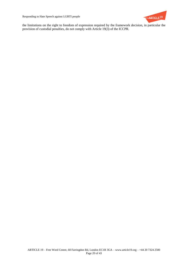

the limitations on the right to freedom of expression required by the framework decision, in particular the provision of custodial penalties, do not comply with Article 19(3) of the ICCPR.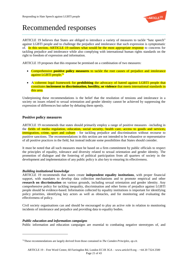

# Recommended responses

ARTICLE 19 believes that States are obliged to introduce a variety of measures to tackle "hate speech" against LGBTI people and to challenge the prejudice and intolerance that such expression is symptomatic of. In this section, ARTICLE 19 outlines what would be the most appropriate response to concerns for tackling prejudice and intolerance while also complying with international human rights standards on the right to freedom of expression and information.

ARTICLE 19 proposes that this response be premised on a combination of two measures:

- Comprehensive **positive policy measures** to tackle the root causes of prejudice and intolerance against LGBTI people*.* 71
- A coherent legal framework for **prohibiting** the advocacy of hatred against LGBTI people that constitutes **incitement to discrimination, hostility, or violence** that meets international standards in this area.

Underpinning these recommendations is the belief that the resolution of tensions and intolerance in a society on issues related to sexual orientation and gender identity cannot be achieved by suppressing the expression of differences but rather by debating them openly.

# **Positive policy measures**

ARTICLE 19 recommends that states should primarily employ a range of positive measures –including in the fields of media regulation, education, social security, health care, access to goods and services, immigration, crime, sport and culture - for tackling prejudice and discrimination without recourse to punitive sanctions. The recommendations in this section are not intended to be exhaustive or representative of all positive practices in the field, but instead indicate some possibilities that States should consider.

It must be noted that all such measures must be based on a firm commitment by public officials to respect the principles of equality, tolerance and diversity related to sexual orientation and gender identity. The promotion of dialogue and the fostering of political participation from all quarters of society in the development and implementation of any public policy is also key to ensuring its effectiveness.

# *Building institutional knowledge*

ARTICLE 19 recommends that states create **independent equality institutions**, with proper financial support, with mandates to develop data collection mechanisms and to promote empirical and other **research on discrimination** on various grounds, including sexual orientation and gender identity. Any comprehensive policy for tackling inequality, discrimination and other forms of prejudice against LGBTI people should be evidence-based. Information collected by equality institutions is important for identifying policy priorities, identifying key actors as well as obstacles, and for monitoring and evaluating the effectiveness of policy.

Civil society organisations can and should be encouraged to play an active role in relation to monitoring incidents of intolerance and prejudice and providing data to equality bodies.

# *Public education and information campaigns*

 $\overline{a}$ 

Public information and education campaigns are essential to combating negative stereotypes of, and

<sup>71</sup>These recommendations are largely derived from those contained in *The Camden Principles*, *op.cit.*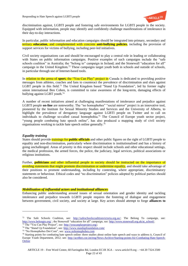

discrimination against, LGBTI people and fostering safe environments for LGBTI people in the society. Equipped with information, people may identify and confidently challenge manifestations of intolerance in their day-to-day interactions.

In particular, public information and education campaigns should be integrated into primary, secondary and tertiary **education**, and complemented with concrete **anti-bullying policies**, including the provision of support services for victims of bullying, including peer-led initiatives.

Civil society organisations can and should be encouraged to play a central role in leading or collaborating with States on public information campaigns. Positive examples of such campaigns include the "safe schools coalition" in Australia; the "belong to" campaign in Ireland; and the Stonewall "education for all" campaign in the United Kingdom.<sup>72</sup> These campaigns target youth both in schools and outside of schools, in particular through use of Internet-based tools.

In relation to the arena of **sport**, the "You Can Play" project in Canada is dedicated to providing positive messages from athletes, coaches and fans to counteract the prevalence of discrimination and slurs against LGBT people in this field.<sup>73</sup> The United Kingdom based "Stand Up Foundation", led by former rugby union international Ben Cohen, is committed to raise awareness of the long-term, damaging effects of bullying against LGBT youth.<sup>74</sup>

A number of recent initiatives aimed at challenging manifestations of intolerance and prejudice against LGBTI people **on-line** are noteworthy. The "no homophobes" "social mirror" project is an innovative tool, pioneered by the Institute for Sexual Minority Studies and Services and the University of Alberta, to highlight the prevalence of derogatory language against LGBTI people on Twitter and to call on individuals to challenge so-called casual homophobia.<sup>75</sup> The Council of Europe youth sector project, "young people combating hate speech online", has also produced a mapping study of civil society organisations working to tackle hate speech online generally.<sup>76</sup>

# *Equality training*

 $\overline{a}$ 

States should provide trainings for **public officials** and other public figures on the right of LGBTI people to equality and non-discrimination, particularly where discrimination is institutionalised and has a history of going unchallenged. Areas of priority in this respect should include schools and other educational settings, the medical profession, the armed forces, the police, the judiciary, legal services, political associations or religious institutions.

Further, **politicians** and other influential people in society should be instructed on the importance of avoiding statements that might promote discrimination or undermine equality, and should take advantage of their positions to promote understanding, including by contesting, where appropriate, discriminatory statements or behaviour. Ethical codes and "no discrimination" policies adopted by political parties should also be considered.

#### *Mobilisation of influential actors and institutional alliances*

Enhancing public understanding around issues of sexual orientation and gender identity and tackling intolerance and prejudice towards LGBTI people requires the fostering of dialogue and engagement between government, civil society, and society at large. Key actors should attempt to forge **alliances to** 

<sup>72</sup> The Safe Schools Coalition, see: [http://safeschoolscoalitionvictoria.org.au/;](http://safeschoolscoalitionvictoria.org.au/) The Belong To campaign, see: <http://www.belongto.org/>; the Stonewall "education for all" campaign, see: [http://www.stonewall.org.uk/at\\_school/.](http://www.stonewall.org.uk/at_school/) <sup>73</sup> The "You Can Play Project", see[: http://youcanplayproject.org/;](http://youcanplayproject.org/)

<sup>74</sup> The "Stand Up Foundation", see:<http://www.standupfoundation.com/>

<sup>75</sup> "No Homophobes Dot Com", see[: www.nohomophobes.com](http://www.nohomophobes.com/)

<sup>&</sup>lt;sup>76</sup> Starting points for combating hate speech online: three studies about online hate speech and ways to address it, Council of Europe Youth Department, 2012; see: [http://act4hre.coe.int/eng/News-Archive/Starting-points-for-Combating-Hate-Speech-](http://act4hre.coe.int/eng/News-Archive/Starting-points-for-Combating-Hate-Speech-Online)**[Online](http://act4hre.coe.int/eng/News-Archive/Starting-points-for-Combating-Hate-Speech-Online)**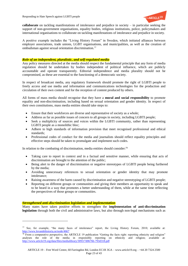

**collaborate** on tackling manifestations of intolerance and prejudice in society – in particular seeking the support of non-government organisations, equality bodies, religious institutions, police, policymakers and international organisations to collaborate on tackling manifestations of intolerance and prejudice in society.

A positive example includes the "Living History Forum" in Sweden, which initiated alliances between employer associations, trade unions, LGBT organisations, and municipalities, as well as the creation of ombudsman against sexual orientation discrimination.<sup>77</sup>

# *Role of an independent, pluralistic, and self-regulated media*

Any policy measures directed at the media should respect the fundamental principle that any form of media regulation should be undertaken by bodies independent of political influence, which are publicly accountable and operate transparently. Editorial independence and media plurality should not be compromised, as these are essential to the functioning of a democratic society.

In respect of broadcast media, any regulatory framework should promote the right of LGBTI people to freely access and use media and information and communications technologies for the production and circulation of their own content and for the reception of content produced by others.

All forms of mass media should recognise that they have a **moral and social responsibility** to promote equality and non-discrimination, including based on sexual orientation and gender identity. In respect of their own constitutions, mass media entities should take steps to:

- Ensure that their workforces are diverse and representative of society as a whole;
- Address as far as possible issues of concern to all groups in society, including LGBTI people;
- Seek a multiplicity of sources and voices within the LGBTI community, rather than representing LGBTI people as a monolithic bloc;
- Adhere to high standards of information provision that meet recognised professional and ethical standards;
- Professional codes of conduct for the media and journalists should reflect equality principles and effective steps should be taken to promulgate and implement such codes.

In relation to the combating of discrimination, media entities should consider:<sup>78</sup>

- Taking care to report in context and in a factual and sensitive manner, while ensuring that acts of discrimination are brought to the attention of the public;
- Being alert to the danger of discrimination or negative stereotypes of LGBTI people being furthered by the media;
- Avoiding unnecessary references to sexual orientation or gender identity that may promote intolerance;
- Raising awareness of the harm caused by discrimination and negative stereotyping of LGBTI people;
- Reporting on different groups or communities and giving their members an opportunity to speak and to be heard in a way that promotes a better understanding of them, while at the same time reflecting the perspectives of those groups or communities.

# *Strengthened anti-discrimination legislation and implementation*

 $\overline{a}$ 

Many states have taken positive efforts to strengthen the **implementation of anti-discrimination legislation** through both the civil and administrative laws, but also through non-legal mechanisms such as

<sup>77</sup> See, for example, "the many faces of intolerance" report, the Living History Forum, 2010; available at: <http://www.levandehistoria.se/node/4667>

 $\frac{78}{18}$  From a comparative perspective, the ARTICLE 19 publication "Getting the facts right: reporting ethnicity and religion" analyses the role of the media in responsibly reporting on ethnicity and religion; available at: <http://www.article19.org/data/files/medialibrary/3093/7d0676b-793d318.pdf>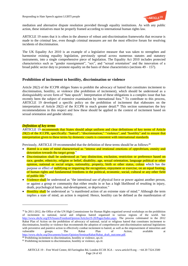

mediation and alternative dispute resolution provided through equality institutions. As with any public action, these initiatives must be properly framed according to international human rights law.

ARTICLE 19 notes that it is often in the absence of robust anti-discrimination frameworks that recourse is made to the criminal law, even though criminal measures are not the most effective forum for resolving incidents of discrimination.

The UK Equality Act 2010 is an example of a legislative measure that was taken to strengthen and harmonise existing equality legislation, previously spread across numerous statutes and statutory instruments, into a single comprehensive piece of legislation. The Equality Act 2010 includes protected characteristics such as "gender reassignment", "sex", and "sexual orientation" and the innovation of a broad public sector duty to promote equality on the basis of these characteristics (sections 49 – 157).

# **Prohibition of incitement to hostility, discrimination or violence**

Article 20(2) of the ICCPR obliges States to prohibit the advocacy of hatred that constitutes incitement to discrimination, hostility, or violence (the prohibition of incitement), which should be understood as a distinguishably severe form of "hate speech". Interpretation of these obligations is a complex issue that has recently been the subject of extensive examination by international fora.<sup>79</sup> To contribute to this process, ARTICLE 19 developed a specific policy on the prohibition of incitement that elaborates on the interpretation of Article 20(2) of the ICCPR in much greater detail.<sup>80</sup> This section summarises the key recommendations in this respect and how these should be applied in the context of incitement based on sexual orientation and gender identity.

#### *Definition of key terms*

l

ARTICLE 19 recommends that States should adopt uniform and clear definitions of key terms of Article 20(2) of the ICCPR, specifically: "hatred"; "discrimination;" "violence", and "hostility" and to ensure that interpretation given to these terms by domestic courts is consistent with international standards.

Previously, ARTICLE 19 recommended that the definition of these terms should be as follows:<sup>81</sup>

- Hatred is a state of mind characterised as "intense and irrational emotions of opprobrium, enmity and detestation towards the target group."
- Discrimination shall be understood as "any distinction, exclusion, restriction or preference based on race, gender, ethnicity, religion or belief, disability, age, sexual orientation, language political or other opinion, national or social origin, nationality, property, birth or other status, colour which has the purpose or effect of nullifying or impairing the recognition, enjoyment or exercise, on an equal footing, of human rights and fundamental freedoms in the political, economic, social, cultural or any other field of public life."
- Violence shall be understood as "the intentional use of physical force or power against another person, or against a group or community that either results in or has a high likelihood of resulting in injury, death, psychological harm, mal-development, or deprivation."
- Hostility shall be understood as "a manifested action of an extreme state of mind." Although the term implies a state of mind, an action is required. Hence, hostility can be defined as the manifestation of

<sup>80</sup> Prohibiting incitement to discrimination, hostility or violence, *op.cit.* 

 $79$  In 2011-2012, the Office of the UN High Commissioner for Human Rights organised several workshops on the prohibition of incitement to national, racial and religious hatred organised in various regions of the world. See [http://www.ohchr.org/EN/Issues/FreedomOpinion/Articles19-20/Pages/Index.aspx.](http://www.ohchr.org/EN/Issues/FreedomOpinion/Articles19-20/Pages/Index.aspx) The process culminated in the 2012 Rabat Plan of Action on the prohibition of advocacy of national, racial or religious hatred that constitutes incitement to discrimination, hostility or violence that recommends the adoption of comprehensive anti-discrimination national legislations with preventive and punitive action to effectively combat incitement to hatred, as well as the empowerment of minorities and vulnerable groups. The Rabat Plan of Action; available at [http://www.ohchr.org/Documents/Issues/Opinion/SeminarRabat/Rabat\\_draft\\_outcome.pdf.](http://www.ohchr.org/Documents/Issues/Opinion/SeminarRabat/Rabat_draft_outcome.pdf)

<sup>81</sup> Prohibiting incitement to discrimination, hostility or violence, *op.cit*.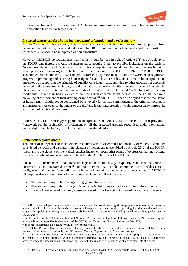

hatred – that is the manifestation of "intense and irrational emotions of opprobrium enmity and detestation towards the target group."

#### *Protected characteristics should include sexual orientation and gender identity*

Article 20(2) of the ICCPR only lists three characteristics which states are required to protect from incitement – nationality, race, and religion. The HR Committee has not yet addressed the question of whether this list should be interpreted as non-exhaustive.

However, ARTICLE 19 recommends that this list should be read in light of Article 2(1) and Article 26 of the ICCPR and therefore should be interpreted to require States to prohibit incitement on the basis of "sexual orientation" and "gender identity." This interpretation would comply with the evolution of developments in human rights protections since the adoption of the ICCPR in 1977.<sup>82</sup> ARTICLE 19 has also pointed out that the ICCPR was adopted before equality movements around the world made significant progress in promoting and securing human rights for all. However, it has since come to be interpreted and understood as supporting the principle of equality on a larger scale, applying to other grounds not expressly included in the treaty text, including sexual orientation and gender identity. It would also be in line with the object and purpose of international human rights law that must be interpreted "in the light of present-day conditions", rather than being viewed as contracts with concrete terms defined by the norms that were prevailing at the moment of their drafting or ratification.<sup>83</sup> ARTICLE 19 has also argued that the realisation of human rights should not be constrained by an overly formalistic commitment to the original wording of any instrument, or even to the intent of the drafters, if that interpretation would unnecessarily narrow the enjoyment of rights and freedoms.

Hence, ARTICLE 19 strongly supports an interpretation of Article 20(2) of the ICCPR that provides a framework for the prohibition of incitement on all the protected grounds recognised under international human rights law, including sexual orientation or gender identity.

#### *Incitement requires intent*

 $\overline{a}$ 

The intent of the speaker to incite others to commit acts of discrimination, hostility or violence should be considered a crucial and distinguishing element of incitement as prohibited by Article 20(2) of the ICCPR. Importantly, the element of intent distinguishes incitement from other forms of expression that may offend, shock or disturb but are nevertheless protected under Article 19(2) of the ICCPR.

ARTICLE 19 recommends that domestic legislation should always explicitly state that the crime of incitement is an *intentional* crime<sup>84</sup> and not a crime that can be committed with recklessness or negligence.<sup>85</sup> With no uniform definition of intent in international law or across domestic laws,<sup>86</sup> ARTICLE 19 proposes that any definition of intent should include the following aspects:

- The volition (purposely striving) to engage in advocacy to hatred;
- The volition (purposely striving) to target a protected group on the basis of prohibitive grounds;
- Having knowledge of the likely consequences of his or her action in the ordinary course of events.

 $82$  The ICCPR was adopted before equality movements around the world made significant progress in promoting and securing human rights for all. However, it has since come to be interpreted and understood as supporting the principle of equality on a larger scale, applying to other grounds not expressly included in the treaty text, including sexual orientation, gender identity, and disability.

<sup>83</sup> In the context of the ICCPR, see: Manfred Nowak, UN Covenant on Civil and Political Rights, CCPR Commentary, 2<sup>nd</sup> revised edition, at page 628. In the context of the ECHR, see: *Tyrer v. the United Kingdom*, A 26 (1978).

<sup>&</sup>lt;sup>84</sup> In some jurisdictions, also acting "wilfully" or "purposefully."

<sup>&</sup>lt;sup>85</sup> ARTICLE 19 notes that the legislation of many States already recognises intent or intention as one of the defining elements of incitement, for example, the UK, Ireland, Canada, Cyprus, Ireland, Malta, and Portugal.

<sup>86</sup> No international treaty body or mechanism has adopted a definition of "intent" for the purpose of prohibition on incitement. A common approach within international criminal law and domestic criminal law is to ensure liability for offences where the speaker acted with knowledge and with the intention of causing the objective elements of a crime.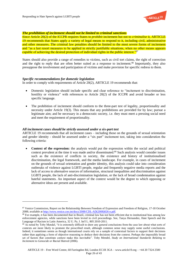

### *The prohibition of incitement should not be limited to criminal sanctions*

Since Article 20(2) of the ICCPR requires States to *prohibit* incitement but not to *criminalise* it, ARTICLE 19 recommends that States apply a variety of legal means to respond to it, including civil, administrative and other measures. The criminal law penalties should be limited to the most severe forms of incitement and "as a last resort measures to be applied in strictly justifiable situations, when no other means appears capable of achieving the desired protection of individual rights in the public interest."<sup>87</sup>

States should also provide a range of remedies to victims, such as civil tort claims, the right of correction and the right to reply that are often better suited as a response to incitement.<sup>88</sup> Importantly, they also presuppose the involvement and participation of victims and make provision for specific redress to them.

#### *Specific recommendations for domestic legislation*

 $\overline{a}$ 

In order to comply with requirements of Article 20(2), ARTICLE 19 recommends that:

- Domestic legislation should include specific and clear reference to "incitement to discrimination, hostility or violence" with references to Article 20(2) of the ICCPR and avoid broader or less specific language.
- The prohibition of incitement should conform to the three-part test of legality, proportionality and necessity under Article 19(3). This means that any prohibitions are provided for by law; pursue a legitimate aim; and be necessary in a democratic society, i.e. they must meet a pressing social need and meet the requirement of proportionality.

#### *All incitement cases should be strictly assessed under a six-part test*

ARTICLE 19 recommends that all incitement cases – including those on the grounds of sexual orientation and gender identity - should be assessed under a "six part" incitement test, taking into consideration the following criteria:

 **Context of the expression:** the analysis would put the expression within the social and political context prevalent at the time it was made and/or disseminated.<sup>89</sup> Such analysis would consider issues such as the existence of conflicts in society, the existence and history of institutionalised discrimination, the legal framework, and the media landscape. For example, in cases of incitement on the grounds of sexual orientation and gender identity, this analysis could take into consideration outbreaks of violence against LGBTI people, regular and frequently negative media reports and the lack of access to alternative sources of information, structural inequalities and discrimination against LGBTI people, the lack of anti-discrimination legislation, or the lack of broad condemnation against hateful statements. An important aspect of the context would be the degree to which opposing or alternative ideas are present and available.

<sup>87</sup> Venice Commission, Report on the Relationship Between Freedom of Expression and Freedom of Religion, 17-18 October 2008; available at [http://www.venice.coe.int/docs/2008/CDL-AD\(2008\)026-e.pdf.](http://www.venice.coe.int/docs/2008/CDL-AD(2008)026-e.pdf)

<sup>&</sup>lt;sup>88</sup> For example, it has been documented that in Brazil, criminal law has not been efficient due to institutional bias among law enforcement agencies, while sanctions have been levied in civil proceedings. See, Tanya Hernandez, Hate Speech and the Language of Racism in Latin America, 32 U. Pa. J. Int'l L. 805 2010-2011*.* 

<sup>89</sup> As noted by Toby Mendel, "it is extremely difficult to draw any general conclusions from the case law about what sorts of contexts are more likely to promote the proscribed result, although common sense may supply some useful conclusions. Indeed, it sometimes seems as though international courts rely on a sample of contextual factors to support their decisions rather than applying a form of objective reasoning to deduce their decisions from the context. Perhaps the impossibly broad set of factors that constitute context make this inevitable". Toby Mendel, *Study on International Standards Relating to Incitement to Genocide or Racial Hatred* (2006).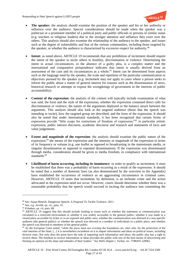

- **The speaker:** the analysis should examine the position of the speaker and his or her authority or influence over the audience. Special considerations should be made when the speaker was a politician or a prominent member of a political party and public officials or persons of similar status (e.g. teachers or religious leaders) due to the stronger attention and influence they exert over the others. This analysis should also examine the relationship of the audience to the speaker, and issues such as the degree of vulnerability and fear of the various communities, including those targeted by the speaker, or whether the audience is characterised by excessive respect for authority.<sup>90</sup>
- **Intent:** as noted above, ARTICLE 19 recommends that any prohibition of incitement should require the intent of the speaker to incite others to hostility, discrimination or violence. Determining the intent in actual circumstances, in the absence of a guilty plea, is a complex matter and the international and comparative jurisprudence indicates that intent is usually derived from an assessment of the case and its circumstances as a whole.<sup>91</sup> Intent can be determined from aspects such as the language used by the speaker, the scale and repetition of the particular communication or objectives pursued by the speaker (e.g. incitement may not apply to cases where a person seeks to inform the public about a matter of general interest for reasons such as the dissemination of news, historical research or attempts to expose the wrongdoings of government in the interests of public accountability).
- **Content of the expression:** the analysis of the content will typically include examination of what was said, the form and the style of the expression, whether the expression contained direct calls for discrimination or violence, the nature of the arguments deployed or the balance struck between the arguments. This analysis should also look at the targeted audience (those that the speech was intending to incite), how the targeted group are described, and the form of the expression. It should also be noted that under international standards, it has been recognised that certain forms of expression provide "little scope for restrictions of freedom of expression;"<sup>92</sup> in particular artistic expression, public interest discourse, academic discourse and research and statements of facts and value judgements.
- **Extent and magnitude of the expression**: the analysis should examine the public nature of the expression,<sup>93</sup> the means of the expression and the intensity or magnitude of the expression in terms of its frequency or volume (e.g. one leaflet as opposed to broadcasting in the mainstream media, or singular dissemination as opposed to repeated dissemination). If the expression was disseminated through media, consideration should be given to media freedom, in compliance with international standards.<sup>94</sup>
- **Likelihood of harm occurring, including its imminence**: in order to qualify as incitement, it must be established that there was a probability of harm occurring as a result of the expression. It should be noted that a number of domestic laws (as also demonstrated by the overview in the Appendix) have established the occurrence of violence as an aggravating circumstance in criminal cases. However, ARTICLE 19 notes that incitement, by definition, is an inchoate crime and the action advocated in the expression need not occur. However, courts should determine whether there was a reasonable probability that the speech would succeed in inciting the audience into committing the

 $\overline{a}$ 

<sup>90</sup> See: Susan Benesh, Dangerous Speech: A Proposal To Tackle Violence, 2011.

<sup>91</sup> See, e.g. *Jersild*, *op. cit.*, para. 31.

<sup>92</sup> *Erbakan*, *op. cit*, para. 68.

<sup>93</sup> ARTICLE 19 suggest that this should include looking at issues such as whether the statement or communication was circulated in a restricted environment or whether it was widely accessible to the general public; whether it was made in a closed place accessible by ticket or in an exposed and public area; whether the communication was directed at a non-specific audience (the general public); or whether the speech was directed to a number of individuals in a public place, and whether the speech was directed to members of the general public.

<sup>94</sup> As the European Court noted, "while the press must not overstep the boundaries set, *inter alia*, for the protection of the vital interests of the State, [...] it is nevertheless incumbent on it to impart information and ideas on political issues, including divisive ones. Not only does the press have the task of imparting such information and ideas: the public also has a right to receive them. The freedom to receive information or ideas provides the public with one of the best means of discovering and forming an opinion on the ideas and attitudes of their leaders." See *Halis Doğan v. Turkey.* no. 71984/01 (2006).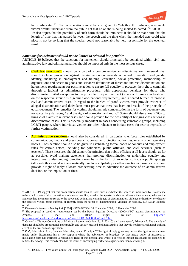

harm advocated.<sup>95</sup> The considerations must be also given to "whether the ordinary, reasonable viewer would understand from the public act that he or she is being incited to hatred."<sup>96</sup> ARTICLE 19 also argues that the possibility of such harm should be imminent: it should be made sure that the length of time that has passed between the speech and the time when the intended acts could take place is not be so long that the speaker could not reasonably be held responsible for the eventual result.

# *Sanctions for incitement should not be limited to criminal law penalties*

ARTICLE 19 believes that the sanctions for incitement should principally be contained within civil and administrative law and criminal penalties should be imposed only in the most serious cases.

- **Civil law sanctions**<sup>97</sup> should be a part of a comprehensive anti-discrimination framework that should include: protection against discrimination on grounds of sexual orientation and gender identity, including in employment and training, education, social protection, membership of organisations and access to goods and services; definitions of direct and indirect discrimination and harassment; requirements for positive action to ensure full equality in practice; the right to complain through a judicial or administrative procedure, with appropriate penalties for those who discriminate; limited exceptions to the principle of equal treatment (where a difference in treatment on the respective ground is a genuine occupational requirement), and a shared burden of proof in civil and administrative cases. In regard to the burden of proof, victims must provide evidence of alleged discrimination and defendants must prove that there has been no breach of the principle of equal treatment. The remedies for victims should include compensation in the form of pecuniary and non-pecuniary damages,<sup>98</sup> and the right of correction and reply.<sup>99</sup> States should also allow NGOs to bring civil claims in relevant cases and should provide for the possibility of bringing class actions in discrimination cases. This is especially important in cases concerning vulnerable groups, including LGBTI people, where individual victims are often reluctant to initiate cases for fear of reprisals or further victimisation.
- **Administrative sanctions** should also be considered, in particular to enforce rules established by communication, media and press councils, consumer protection authorities, or any other regulatory bodies. Consideration should also be given to establishing formal codes of conduct and employment rules for certain actors, including for politicians, public officials, and civil servants (such as teachers). These measures should support the principle that public officials at all levels should, as far as possible, avoid making statements that promote discrimination or undermine equality and intercultural understanding. Sanctions may be in the form of an order to: issue a public apology (although this should not automatically preclude culpability or other sanctions); issue a correction; provide a right of reply; allocate broadcasting time to advertise the outcome of an administrative decision, or the imposition of fines.

 $\overline{a}$ 

<sup>&</sup>lt;sup>95</sup> ARTICLE 19 suggest that this examination should look at issues such as whether the speech is understood by its audience to be a call to acts of discrimination, violence or hostility; whether the speaker is able to influence the audience; whether the audience had the means to resort to the advocated action, and commit acts of discrimination, violence or hostility, or whether the targeted victim group suffered or recently been the target of discrimination, violence or hostility. C.f. Susan Benesh, *op.cit*.

<sup>96</sup> *Ekermawi v Network Ten Pty Ltd*, [2008] NSWADT 334, 18 November 2008, 16 December 2008.

 $97$  The proposal is based on requirements set by the Racial Equality Directive (2000/43/EC) against discrimination on grounds of race and ethnic origin; available at [http://eur](http://eur-lex.europa.eu/LexUriServ/LexUriServ.do?uri=CELEX:32000L0043:en:HTML)[lex.europa.eu/LexUriServ/LexUriServ.do?uri=CELEX:32000L0043:en:HTML.](http://eur-lex.europa.eu/LexUriServ/LexUriServ.do?uri=CELEX:32000L0043:en:HTML)

<sup>98</sup> Council of Europe Committee of Ministers Recommendation No. R 97 (20) on 'hate speech', Principle 2. The awards of damages should be proportional and carefully and strictly justified and motivated so that they do not have a collateral chilling effect on the freedom of expression.

<sup>99</sup> *Ibid.,* Principle 2. Also, Camden Principles, *op.cit.*, Principle 7.The right of reply gives any person the right to have a mass media outlet disseminate his or her response where the publication or broadcast by that media outlet of incorrect or misleading facts has infringed a recognised right of that person, and where a correction cannot reasonably be expected to redress the wrong. This remedy also has the result of encouraging further dialogue, rather than restricting it.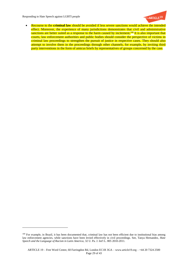$\overline{a}$ 



 Recourse to the **criminal law** should be avoided if less severe sanctions would achieve the intended effect. Moreover, the experience of many jurisdictions demonstrates that civil and administrative sanctions are better suited as a response to the harm caused by incitement.<sup>100</sup> It is also important that courts, law enforcement authorities and public bodies should consider the perspective of victims in criminal law proceedings to strengthen the pursuit of justice in respective cases. They should also attempt to involve them in the proceedings through other channels, for example, by inviting third party interventions in the form of amicus briefs by representatives of groups concerned by the case.

<sup>&</sup>lt;sup>100</sup> For example, in Brazil, it has been documented that, criminal law has not been efficient due to institutional bias among law enforcement agencies, while sanctions have been levied effectively in civil proceedings. See, Tanya Hernandez, *Hate Speech and the Language of Racism in Latin America,* 32 U. Pa. J. Int'l L. 805 2010-2011*.*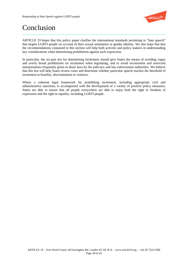

# Conclusion

ARTICLE 19 hopes that this policy paper clarifies the international standards pertaining to "hate speech" that targets LGBTI people on account of their sexual orientation or gender identity. We also hope that that the recommendations contained in this section will help both activists and policy makers in understanding key considerations when determining prohibitions against such expression.

In particular, the six-part test for determining incitement should give States the means of avoiding vague and overly broad prohibitions on incitement when legislating, and to avoid inconsistent and restricted interpretations frequently given to those laws by the judiciary and law enforcement authorities. We believe that this test will help States review cases and determine whether particular speech reaches the threshold of incitement to hostility, discrimination or violence.

Where a coherent legal framework for prohibiting incitement, including appropriate civil and administrative sanctions, is accompanied with the development of a variety of positive policy measures, States are able to ensure that all people everywhere are able to enjoy both the right to freedom of expression and the right to equality, including LGBTI people.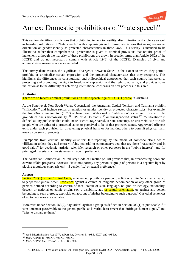

# Annex: Domestic prohibitions of "hate speech"

This section identifies jurisdictions that prohibit incitement to hostility, discrimination and violence as well as broader prohibitions of "hate speech," with emphasis given to those jurisdictions that recognise sexual orientation or gender identity as protected characteristics in these laws. This survey is intended to be illustrative rather than comprehensive; preference is given to criminal provisions that require proof of incitement, although the majority of these prohibitions are drawn in broader terms than Article 20(2) of the ICCPR and do not necessarily comply with Article 19(3) of the ICCPR. Examples of civil and administrative measures are also included.

The survey demonstrates the significant divergence between States in the extent to which they permit, prohibit, or criminalise certain expression and the protected characteristics that they recognise. This highlights the differences in constitutional and philosophical approaches that each country has taken to protecting and promoting the right to freedom of expression and the right to equality, and provides some indication as to the difficulty of achieving international consensus on best practices in this area.

#### *Australia*

There are no federal criminal prohibitions on "hate speech" against LGBTI people in Australia.

At the State level, New South Wales, Queensland, the Australian Capital Territory and Tasmania prohibit "vilification" and include sexual orientation or gender identity as protected characteristics. For example, the Anti-Discrimination Act (1977) of New South Wales makes "vilification" a criminal offence on the grounds of one's homosexuality,<sup>101</sup> HIV or AIDS status,<sup>102</sup> or transgendered status.<sup>103</sup> "Vilification" is defined as any public act that could incite or encourage hatred, serious contempt, or severe ridicule towards people who are either of a protected status or perceived to be of that protected status. Aggravated offences exist under each provision for threatening physical harm or for inciting others to commit physical harm towards persons or property.

Exemptions from criminal liability exist for: fair reporting by the media of someone else's act of vilification unless they add extra vilifying material or commentary; acts that are done "reasonably and in good faith," for academic, artistic, scientific, research or other purposes in the "public interest"; and for privileged material such as statements made in parliament.

The Australian Commercial TV Industry Code of Practice (2010) provides that, in broadcasting news and current affairs programs, licensees "must not portray any person or group of persons in a negative light by placing gratuitous emphasis on [...] gender [...] or sexual preference."

#### *Austria*

 $\overline{a}$ 

Section 283(1) of the Criminal Code, as amended, prohibits a person to solicit or excite "in a manner suited to jeopardise public order" "violence against a church or religious denomination or any other group of persons defined according to criteria of race, colour of skin, language, religion or ideology, nationality, descent or national or ethnic origin, sex, a disability, age or sexual orientation, or against any person belonging to such a group, explicitly on account of his/her belonging to such a group." Custodial sentences of up to two years are available.

Moreover, under Section 283(2), "agitation" against a group as defined in Section 283(1) is punishable if it is in a manner perceivable to the general public, as is verbal harassment that "infringes human dignity" and "tries to disparage them."

<sup>101</sup> Anti-Discrimination Act 1977, at Part 4A, Division 5, 49ZS, 49ZT, and 49ZTA.

<sup>102</sup> *Ibid.*, At Part 4F, 49ZXA, 49ZXB, 49ZXC.

<sup>103</sup> *Ibid.*, At Part 3A, Division 5, 38R, 38S, 38T.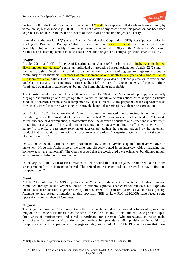

Section 1330 of the Civil Code contains the action of "insult" for expression that violates human dignity by verbal abuse, hurt or mockery. ARTICLE 19 is not aware of any cases where this provision has been used to protect individuals from insult on account of their sexual orientation or gender identity.

In relation to the media, s10(2) of the Austrian Broadcasting Corporation (ORF) Act stipulates under the heading of "Programme Principles" that broadcasts must not incite to hatred based on race, sex, age, disability, religion or nationality. A similar provision is contained in s30(2) of the Audiovisual Media Act. Neither act has been updated to include sexual orientation or gender identity as protected characteristics.

# *Belgium*

Article 22(1) and (2) of the Anti-Discrimination Act (2007) criminalises "incitement to hatred, discrimination and violence" against an individual on grounds of sexual orientation. Article 22 (3) and (4) criminalise public "incitement to hatred, discrimination, violence and segregation" against a group, a community or its members. Sentences of imprisonment of one month to one year and a fine of  $\epsilon$ 50 to €1000 are available. Article 150 of the Belgian Constitution provides heightened protection to written and published materials, requiring press crimes to be tried by jury. An exception exists for press crimes "motivated by racism or xenophobia" but not for homophobia or transphobia.

The Constitutional Court ruled in 2004 in case no. 157/2004 that "incitement" presupposes actively "urging", "stimulating" or "instigating" third parties to undertake certain actions or to adopt a particular conduct (of hatred). This must be accompanied by "special intent", so the proponent of the expression must consciously intend that their words incite or provoke hatred, discrimination, violence or segregation.

On 11 April 1991, the Correctional Court of Brussels enumerated the following list of factors for considering when the threshold of incitement is reached: "a conscious and deliberate desire" to incite hatred, violence or discrimination; a provocative tone; the absence of nuances or distinctions in a statement containing an amalgam of ideas; the intent to show contempt; a wounding or offensive statement of a nature "to provoke a passionate reaction of aggression" against the persons targeted by the statement; conduct that "stimulates or promotes the resort to acts of violence"; organised acts; and "manifest absence of regret or reform."

On 4 June 2008, the Criminal Court (Indictment Division) at Nivelle acquitted Raadkamer Nijve of incitement. Nijve was Archbishop at the time, and allegedly stated in an interview with a magazine that homosexuals were "abnormal". The Court accepted that the words used were offensive, but did not amount to incitement to hatred or discrimination.

In January 2010, the Court of First Instance of Arlon found that insults against a same-sex couple in the street amounted to incitement to hatred. The defendant was convicted and ordered to pay a fine and compensation.<sup>104</sup>

# *Brazil*

Article 20(2) of Law 7.716/1989 prohibits the "practice, inducement or incitement to discrimination committed through media vehicles" based on numerous protect characteristics but does not expressly include sexual orientation or gender identity. Imprisonment of up to five years is available as a penalty. Attempts to add sexual orientation to this provision (Bill of Law PLC 122/2006) have faced strong opposition from members of Congress.

# *Bulgaria*

 $\overline{a}$ 

The Bulgarian Criminal Code makes it an offence to incite hatred on the grounds ofnationality, race, and religion or to incite discrimination on the basis of race. Article 162 of the Criminal Code provides up to three years of imprisonment and a public reprimand for a person "who propagates or incites racial animosity or hatred or racial discrimination." Article 164 provides similar punishment in addition to compulsory work for a person who propagates religious hatred. ARTICLE 19 is not aware that these

<sup>104</sup> Belgium/Tribunal de premiere instance d'Arlon – criminal court, decision of 11 January 2010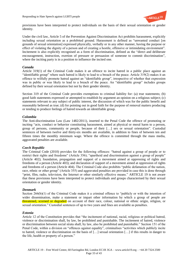

provisions have been interpreted to protect individuals on the basis of their sexual orientation or gender identity.

Under the civil law, Article 5 of the Prevention Against Discrimination Act prohibits harassment, explicitly including sexual orientation as a prohibited ground. Harassment is defined as "unwanted conduct [on grounds of sexual orientation] expressed physically, verbally or in any other manner, having the purpose or effect of violating the dignity of a person and of creating a hostile, offensive or intimidating environment". Incitement is also explicitly recognised as a form of discrimination, defined as the "direct and deliberate encouragement, instruction, exertion of pressure or persuasion of someone to commit discrimination", where the inciting party is in a position to influence the incited one.

# *Canada*

Article 319(1) of the Criminal Code makes it an offence to incite hatred in a public place against an "identifiable group" where such hatred is likely to lead to a breach of the peace. Article 319(2) makes it an offence to wilfully promote hatred against an "identifiable group", irrespective of whether that expression was in public or was likely to lead to a breach of the peace. An "identifiable group" includes groups defined by their sexual orientation but not by their gender identity.

Section 319 of the Criminal Code provides exemptions to criminal liability for: (a) true statements; (b) good faith statements expressed or attempted to establish by argument an opinion on a religious subject; (c) statements relevant to any subject of public interest, the discussion of which was for the public benefit and reasonably believed as true; (d) for pointing out in good faith for the purpose of removal matters producing or tending to produce feelings of hatred towards an identifiable group.

#### *Colombia*

The Anti-discrimination Law (Law 1482/2011), inserted to the Penal Code the offence of promoting or inciting "acts, conduct or behavior constituting harassment, aimed at physical or moral harm to a person, group of persons, community or people, because of their […] sex or sexual orientation". Custodial sentences of between twelve and thirty-six months are available, in addition to fines of between ten and fifteen times the monthly minimum wage. Where the offence is committed through the mass media, aggravated penalties are available.

# *Czech Republic*

The Criminal Code (2010) provides for the following offences: "hatred against a group of people or to restrict their rights and freedoms" (Article 356); "apartheid and discrimination against a group of people" (Article 402); foundation, propagation and support of a movement aimed at oppressing of rights and freedoms of a person (Article 403); and declaration of support of a movement aimed at oppression of rights and freedoms of a person (Article 404). The Criminal Code also prohibits "public defamation of the nation, race, ethnic or other group" (Article 355) and aggravated penalties are provided in case this is done through "print, film, radio, television, the Internet or other similarly effective means." ARTICLE 19 is not aware that these provisions have been interpreted to protect individuals and groups characterised by their sexual orientation or gender identity.

#### *Denmark*

Section  $266(b)(1)$  of the Criminal Code makes it a criminal offence to "publicly or with the intention of wider dissemination, make a statement or impart other information by which a group of people are threatened, scorned or degraded on account of their race, colour, national or ethnic origin, religion, or sexual orientation." Custodial sentences of up to two years and fines are available as penalties.

#### *Estonia*

Article 12 of the Constitution provides that "the incitement of national, racial, religious or political hatred, violence or discrimination shall, by law, be prohibited and punishable. The incitement of hatred, violence or discrimination between social strata shall, by law, also be prohibited and punishable." Section 151 of the Penal Code, within a division on "offences against equality", criminalises "activities which publicly incite to hatred, violence or discrimination on the basis of […] sexual orientation […] if this results in danger to the life, health or property of a person."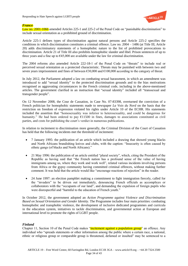

# *France*

Law no. 2001-1066 amended Articles 225-1 and 225-2 of the Penal Code on "punishable discrimination" to include sexual orientation as a prohibited ground of discrimination.

Article 225-1 defines types of discrimination against natural persons and Article 225-2 specifies the conditions in which discrimination constitutes a criminal offence. Law no. 2004 – 1486 (at Title III, Article 20) adds discriminatory statements of a homophobic nature to the list of prohibited provocations to discrimination. Article 21 of Title III also prohibits homophobic slander and libel. Prison sentences of up to three years and a fine up to  $\epsilon$ 45,000 are available under the law for criminal discrimination.

The 2004 reforms also amended Article 222-18-1 of the Penal Code on "threats" to include real or perceived sexual orientation as a protected characteristic. Threats may be punished with between two and seven years imprisonment and fines of between €30,000 and €100,000 according to the category of threat.

In July 2012, the Parliament adopted a law on combating sexual harassment, in which an amendment was introduced to add "sexual identity" to the protected discrimination grounds and to the bias motivations recognised as aggravating circumstances in the French criminal code, including in the above-mentioned articles. The government clarified in an instruction that "sexual identity" included all "transsexual and transgender people".

On 12 November 2008, the Cour de Cassation, in Case No. 07-83398, overturned the conviction of a French politician for homophobic statements made to newspaper *La Voix du Nord* on the basis that the restriction on freedom of expression violated his rights under Article 10 of the ECHR. His statements included the assertion that "homosexuality was inferior to heterosexuality, and could be dangerous for humanity." He had been ordered to pay  $\epsilon$ 11500 in fines, damages to associations constituted as civil parties, and costs for publishing the court's verdict in numerous publications.

In relation to incitement to discrimination more generally, the Criminal Division of the Court of Cassation has held that the following incidents met the threshold of incitement:

- 7 January 1995: the publication of an article which included a drawing that showed young blacks and North Africans brandishing knives and clubs, with the caption: "Insecurity is often caused by ethnic gangs (of blacks and North Africans)."
- 21 May 1996: the publication of an article entitled "plural society", which, citing the President of the Republic as having said that "the French nation has a profound sense of the value of having immigrants among us, where they work and work well", related various incidents involving persons from Africa or the gypsy community having committed criminal offences, without making further comment. It was held that the article would like "encourage reactions of rejection" in the reader.
- 24 June 1997: an election pamphlet making a commitment to fight immigration fiercely, called for the "invaders" to be driven out immediately, denouncing French officials as accomplices or collaborators with the "occupants of our land", and demanding the expulsion of foreign pupils who were disrespectful and "harmful to the education of French youth."

In October 2012, the government adopted an *Action Programme against Violence and Discrimination Based on Sexual Orientation and Gender Identity*. The Programme includes four main priorities: combating homophobic and transphobic violence, the development of inclusive dedicated programmes and curricula in the education system, initiatives to tackle discrimination, and governmental action at European and international level to promote the rights of LGBT people.

# *Finland*

Chapter 11, Section 10 of the Penal Code makes "incitement against a population group" an offence. Any individual who "spreads statements or other information among the public where a certain race, a national, ethnic or religious group or comparable group is threatened, defamed or insulted" may be sentenced to a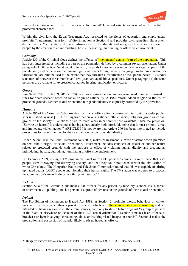

fine or to imprisonment for up to two years. In June 2011, sexual orientation was added to the list of protected characteristics.

Within the civil law, the Equal Treatment Act, restricted to the fields of education and employment, prohibits "harassment" as a form of discrimination at Section 6 and provides civil remedies. Harassment defined as the "deliberate or de facto infringement of the dignity and integrity of a person or group of people by the creation of an intimidating, hostile, degrading, humiliating or offensive environment."

#### *Germany*

Article 130 of the Criminal Code defines the offence of "incitement" against "part of the population." This has been interpreted as including a part of the population defined by a common sexual orientation. Under paragraph (1), the acts of "incitement to hatred", "appeals to violent or wanton measures against parts of the population", and "attacks on the human dignity of others through abusive language, malicious contempt or vilification" are criminalised to the extent that they threaten a disturbance of the "public peace". Custodial sentences of between three months and five years are available as penalties. Under paragraph (2) the same penalties are available for expression contained in print, publication or picture.

#### *Greece*

Law 927/1979 (FEK A 139, 28/06/1979) provides imprisonment up to two years in addition to or instead of fines for "hate speech" based on racial origin or nationality. A 1984 reform added religion to the list of protected grounds. Neither sexual orientation nor gender identity is expressly protected by the provision.

# *Hungary*

Article 296 of the Criminal Code provides that it is an offence for "a person who in front of a wider public, stirs up hatred against […] the Hungarian nation or a national, ethnic, racial, religious group or certain groups of the society." Sanctions of up to three years imprisonment are available under the provision. "Stirring up hatred" is understood as having a particularly high threshold, being that it must prompt "direct and immediate violent action." ARTICLE 19 is not aware that Article 296 has been interpreted to include protections for groups defined by their sexual orientation or gender identity.

Under the civil law, the Equal Treatment Act (2003) makes "harassment" a cause of action where premised on sex, ethnic origin, or sexual orientation. Harassment includes conducts of sexual or another nature related to protected grounds with the purpose or effect of violating human dignity and creating an intimidating, hostile, degrading, humiliating or offensive environment.

In December 2009, during a TV programme panel on "LGBT persons" comments were made that such people were "decaying and destroying society" and that they could not "coexist with the civilisation of white Christians." The Hungarian Radio and Television Commission found that this was capable of stirring up hatred against LGBT people and violating their human rights. The TV station was ordered to broadcast the Commission's main findings in a thirty-minute slot.<sup>105</sup>

# *Iceland*

Section 223a of the Criminal Code makes it an offence for any person, by mockery, slander, insult, threat, or other means, to publicly attack a person or a group of persons on the grounds of their sexual orientation.

# *Ireland*

 $\overline{a}$ 

The Prohibition of Incitement to Hatred Act 1989, at Section 2, prohibits words, behaviour or written material in a place other than a private residence which are "threatening, abusive or insulting and are intended or, having regard to all the circumstances, are likely to stir up hatred" against "a group of persons in the State or elsewhere on account of their […] sexual orientation." Section 3 makes it an offence to broadcast an item involving "threatening, abuse or insulting visual images or sounds". Section 4 makes the preparation and possession of material likely to stir up hatred an offence.

<sup>105</sup> Hungary/Orszagos Radio es Televisio Testulet (ORTT)/No. 2005/2009 (XII.16), 16 December 2009.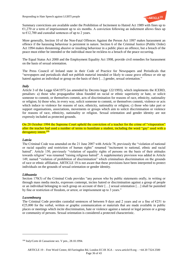

Summary convictions are available under the Prohibition of Incitement to Hatred Act 1989 with fines up to  $\epsilon$ 1,270 or a term of imprisonment up to six months. A conviction following an indictment allows fines up to  $\epsilon$ 12,700 and custodial sentences of up to 2 years.

More generally, Section 10 of the Non-Fatal Offences Against the Person Act 1997 makes harassment an offence if the harassing behaviour is persistent in nature. Section 6 of the Criminal Justice (Public Order) Act 1994 makes threatening abusive or insulting behaviour in a public place an offence, but a breach of the peace must either be intended or the individual must be reckless to a breach of the peace occurring.

The Equal Status Act 2000 and the Employment Equality Act 1998, provide civil remedies for harassment on the basis of sexual orientation.

The Press Council of Ireland state in their Code of Practice for Newspapers and Periodicals that "newspapers and periodicals shall not publish material intended or likely to cause grave offence or stir up hatred against an individual or group on the basis of their [...] gender, sexual orientation."

# *Italy*

Article 3 of the Legge 654/1975 (as amended by Decreto legge 122/1993), which implements the ICERD, penalises: a) those who propagandise ideas founded on racial or ethnic superiority or hate, or solicit someone to commit, or themselves commit, acts of discrimination for reasons of race, ethnicity, nationality or religion; b) those who, in every way, solicit someone to commit, or themselves commit, violence or acts which induce to violence for reasons of race, ethnicity, nationality or religion; c) those who take part or support organisations, associations, movements or groups which aim to solicit discrimination or violence for reasons of race, ethnicity, nationality or religion. Sexual orientation and gender identity are not expressly included as protected grounds.

On 28 October 1994 the Supreme Court upheld the conviction of a teacher for the crime of "vituperation" after the teacher had used a number of terms to humiliate a student, including the word "gay" used with a derogatory intent.<sup>106</sup>

# *Latvia*

The Criminal Code was amended on the 21 June 2007 with Article 78, previously the "violation of national or racial equality and restriction of human rights" renamed "incitement to national, ethnic and racial hatred". Article 150, previously "violation of equality rights of persons on the basis of their attitudes towards religion" was renamed "raising religious hatred". A supplementary provision was added in Article 149, named "violation of prohibition of discrimination" which criminalises discrimination on the grounds of race or ethnic affiliation. ARTICLE 19 is not aware that these provisions have been interpreted to protect individuals on the grounds of sexual orientation or gender identity.

# *Lithuania*

Section 170(3) of the Criminal Code provides "any person who by public statements orally, in writing or through mass media mocks, expresses contempt, incites hatred or discrimination against a group of people or an individual belonging to such group on account of their […] sexual orientation […] shall be punished by fine or restriction of freedom, or arrest, or imprisonment up to 3 years."

# *Luxembourg*

 $\overline{a}$ 

The Criminal Code provides custodial sentences of between 9 days and 2 years and or a fine of  $E251$  to  $E25,000$  for the verbal, written or graphic communication or materials that are made available in public places or meetings which incite discrimination, hate or violence against a natural or legal person or a group or community of persons. Sexual orientation is considered a protected characteristic.

<sup>106</sup> Italy/Corte di Cassazione sez. V pen., 28.10.1994.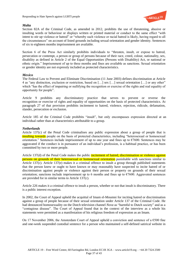

# *Malta*

Section 82A of the Criminal Code, as amended in 2012, prohibits the use of threatening, abusive or insulting words or behaviour or displays written or printed material or conduct to the same effect "with intent to stir up violence or hatred" or "whereby such violence or racial hatred is likely, having regard to all the circumstances" on account of listed grounds including sexual orientation and gender identity. Sentences of six to eighteen months imprisonment are available.

Section 6 of the Press Act similarly prohibits individuals to "threaten, insult, or expose to hatred, persecution or contempt, a person or group of persons because of their race, creed, colour, nationality, sex, disability as defined in Article 2 of the Equal Opportunities (Persons with Disability) Act, or national or ethnic origin." Imprisonment of up to three months and fines are available as sanctions. Sexual orientation or gender identity are not expressly included as protected characteristics.

# *Mexico*

The Federal Law to Prevent and Eliminate Discrimination (11 June 2003) defines discrimination at Article 4 as "any distinction, exclusion or restriction, based on […] sex […] sexual orientation […] or any other" which "has the effect of impairing or nullifying the recognition or exercise of the rights and real equality of opportunity for people".

Article 9 prohibits any discriminatory practice that serves to prevent or reverse the recognition or exercise of rights and equality of opportunities on the basis of protected characteristics. At paragraph 27 of that provision prohibits incitement to hatred, violence, rejection, ridicule, defamation, slander, persecution or exclusion.

Article 185 of the Criminal Code prohibits "insult", but only encompasses expression directed at an individual rather than at characteristics attributable to a group.

# *Netherlands*

Article 137(c) of the Penal Code criminalises any public expression about a group of people that is insulting towards people on the basis of protected characteristics, including "heterosexual or homosexual orientation." Sentences include imprisonment of up to one year and fines up to €7600. Sentences may be aggravated if the conduct is in pursuance of an individual's profession, is a habitual practice, or has been committed by two or more people.

Article 137(d) of the Penal Code makes the public *incitement of hatred, discrimination or violence against* persons on grounds of their heterosexual or homosexual orientation punishable with sanctions similar to Article 137(c). Article 137(e) makes it a criminal offence to insult a group through published statements that the person knew or ought to have known or may reasonably have suspected to incite hatred of or discrimination against people or violence against their person or property on grounds of their sexual orientation; sanctions include imprisonment up to 6 months and fines up to  $\epsilon$ 7600. Aggravated sentences are provided for in similar terms to Article 137(c).

Article 226 makes it a criminal offence to insult a person, whether or not that insult is discriminatory. There is a public interest exception.

In 2002, the Court of Appeal upheld the acquittal of Imam el-Moumni for inciting hatred or discrimination against a group of people because of their sexual orientation under Article 137 of the Criminal Code. He had denounced homosexuality on the Dutch television channel *Nova* as "harmful to Dutch society" and as a "contagious disease". The Court of Appeal found that in the context of the interview as a whole his statements were permitted as a manifestation of his religious freedom of expression as an Imam.

On 17 November 2006, the Amsterdam Court of Appeal upheld a conviction and sentence of a  $\epsilon$ 500 fine and one-week suspended custodial sentence for a person who maintained a self-defined satirical website in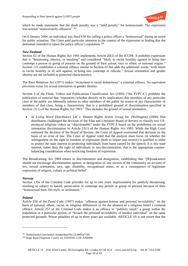

which he made statements that the death penalty was a "mild penalty" for homosexuals. The expression was termed "unnecessarily offensive".<sup>107</sup>

On 6 January 2004, an individual was fined €50 for calling a police officer a "homosexual" during an arrest for public urination. The Court paid particular attention to the context of the expression in finding that the defendant intended to injure the police officer's reputation.<sup>108</sup>

# *New Zealand*

Section 61 of the Human Rights Act 1993 implements Article 20(2) of the ICCPR. It prohibits expression that is "threatening, abusive, or insulting" and considered "likely to excite hostility against or bring into contempt a person or group of persons on the ground of their colour, race or ethnic or national origins." Section 131 establishes a criminal offence similar to Section 61 but adds the additional words "with intent to excite hostility or ill will against, or bring into contempt or ridicule." Sexual orientation and gender identity are not included as protected characteristics.

The Race Relations Act (1971) makes "incitement to racial disharmony" a criminal offence. No equivalent provision exists for sexual orientation or gender identity.

Section 3 of the Films, Videos and Publications Classification Act (1993) ("the FVPCA") prohibits the publication of material that "represents (whether directly or by implication) that members of any particular class of the public are inherently inferior to other members of the public by reason of any characteristic of members of that class, being a characteristic that is a prohibited ground of discrimination specified in Section 21(1) of the Human Rights Act 1993." This includes the ground of sexual orientation.

 In *Living Word Distributors Ltd v. Human Rights Action Group Inc (Wellington)* (2000) film distributors challenged the decision of the Film and Literature Board of Review to classify two USproduced religious videos as "objectionable" under the FVPCA based on the prohibition on sexual orientation discrimination in Article 21(1) of the Human Rights Act 1993. While the High Court endorsed the decision of the Board of Review, the Court of Appeal overturned that decision on the basis of an error of law. The Court of Appeal ruled that the analysis must focus on whether the infringement on the right to freedom of expression (both to impart and receive) is justified in order to protect the state interest in protecting individuals from harm caused by the speech. It is this state interest, rather than the right of individuals to non-discrimination, that is the appropriate counterbalancing consideration when restricting freedom of expression.

The Broadcasting Act 1989 relates to discrimination and denigration, establishing that "[B]roadcasters should not encourage discrimination against, or denigration of, any section of the community on account of sex, sexual orientation, race, age, disability, occupational status, or as a consequence of legitimate expression of religion, culture or political belief".

# *Norway*

Section 135a of the Criminal Code provides for up to two years imprisonment for publicly threatening, insulting or subject to hatred, persecution or contempt any person or group of persons because of their "homosexual bent, life-style, or inclination."

# *Poland*

 $\overline{a}$ 

Article 256 of the Penal Code (1997) makes "offences against honour and personal inviolability" on the basis of national, ethnic, racial, or religious differences or for the absence of a religious belief a criminal offence. Article 257 of the Criminal Code makes it an offence to "publicly insult" a group within the population or a particular person, or "breach the personal inviolability of another individual" on the same protected grounds. Prison penalties of up to three years are available. ARTICLE 19 is not aware that the

<sup>107</sup> Netherlands/Gerechtshof Amsterdam/No.23-000547-06.

<sup>108</sup> Hoge Raad [Supreme Court], no. 01019/03, LJN: AN8498.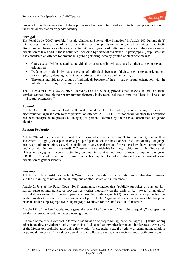

protected grounds under either of these provisions has been interpreted as protecting people on account of their sexual orientation or gender identity.

# *Portugal*

The Penal Code (2007) prohibits "racial, religious and sexual discrimination" in Article 240. Paragraph (1) criminalises the creation of an organisation or the provision of organised activities that incite discrimination, hatred or violence against individuals or groups of individuals because of their sex or sexual orientation or takes part in those activities, including by financial assistance. In paragraph (2) stipulates that it is considered an offence for anyone in a public gathering, who by printed or electronic means:

- Causes acts of violence against individuals or groups of individuals based on their … sex or sexual orientation;
- Defames or insults individuals or groups of individuals because of their … sex or sexual orientation, for example, by denying war crimes or crimes against peace and humanity; or
- Threatens individuals or groups of individuals because of their … sex or sexual orientation with the intention of inciting … discrimination.

The "Television Law" (Law 27/2077, altered by Law no. 8/2011) provides that "television and on demand services cannot, through their programming elements, incite racial, religious or political hate, […] based on [...] sexual orientation."

#### *Romania*

Article 369 of the Criminal Code 2009 makes incitement of the public, by any means, to hatred or discrimination against a category of persons, an offence. ARTICLE 19 is not aware whether this provision has been interpreted to protect a "category of persons" defined by their sexual orientation or gender identity.

# *Russian Federation*

Article 282 of the Federal Criminal Code criminalises incitement to "hatred or enmity, as well as abasement of dignity of a person or a group of persons on the basis of sex, race, nationality, language, origin, attitude to religion, as well as affiliation to any social group, if these acts have been committed in public or with the use of mass media." These acts are punishable by fines, prohibitions on holding certain offices or engaging in certain activities, community service and imprisonment of up to two years. ARTICLE 19 is not aware that this provision has been applied to protect individuals on the basis of sexual orientation or gender identity.

#### *Slovenia*

Article 63 of the Constitution prohibits "any incitement to national, racial, religious or other discrimination and the inflaming of national, racial, religious or other hatred and intolerance."

Article 297(1) of the Penal Code (2008) criminalises conduct that "publicly provokes or stirs up [...] hatred, strife or intolerance, or provokes any other inequality on the basis of [...] sexual orientation." Custodial sentences of up to two years are provided. Subparagraph (3) provides an exemption for live media broadcasts where the expression was not preventable. Aggravated punishment is available for pubic officials under subparagraph (5). Subparagraph (6) allows for the confiscation of materials.

Article 131 of the Penal Code, more generally, prohibits "violation of the right to equality" and specifies gender and sexual orientation as protected grounds.

Article 8 of the Media Act prohibits "the dissemination of programming that encourages […] sexual or any other inequality, or violence and war, or incites […] sexual or any other hatred and intolerance". Article 47 of the Media Act prohibits advertising that would, "incite racial, sexual or ethnic discrimination, religious or political intolerance". Penalties equivalent to  $\epsilon$ 10,000 are available as sanctions under both provisions.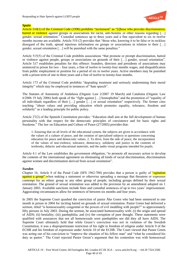

# *Spain*

Article 510(1) of the Criminal Code (1996) prohibits "incitement" as "[t]hose who provoke discrimination, hatred or violence against groups or associations for racist, anti-Semitic or other reasons regarding [...] gender, sexual orientation." Custodial sentences up to three years and a fine equivalent to six to twelve months income are available. Article 510 (2) provides that "those who, knowing it to be false or in reckless disregard of the truth, spread injurious information on groups or associations in relation to their [...] gender, sexual orientation […] will be punished with the same penalties."

Article 515(5) of the Criminal Code prohibits associations "that promote or prompt discrimination, hatred or violence against people, groups or associations on grounds of their […] gender, sexual orientation". Article 517 establishes penalties for this offence: founders, directors and presidents of associations may sentenced to prison for two – four years, a fine of twelve to twenty-four months wages, and disqualification from public employment or position for a period of six to twelve years. Active members may be punished with a prison term of one to three years and a fine of twelve to twenty-four months.

Article 173 of the Criminal Code prohibits "degrading treatment and seriously undermining their moral integrity" which may be employed in instances of "hate speech".

The Statutes of Autonomy of Andalusia (Organic Law 2/2007 19 March) and Catalonia (Organic Law 6/2006 19 July 2006) both speak of the "fight against […] homophobia" and the promotion of "equality of all individuals regardless of their […] gender […] or sexual orientation" respectively. The former cites teaching "about values and providing education which promotes equality, tolerance, freedom and solidarity" as a leading principle for public policy.

Article 27(2) of the Spanish Constitution provides: "Education shall aim at the full development of human personality with due respect for the democratic principles of coexistence and for basic rights and freedoms." The law on Education and Culture of Peace (27/2005) provides that:

1. Ensuring that on all levels of the educational system, the subjects are given in accordance with the values of a culture of peace, and the creation of specialised subjects in questions concerning education for peace and democratic values. 2. To drive, from the side of peace, the incorporation of the values of non-violence, tolerance, democracy, solidarity and justice in the contents of textbooks, didactic and educational materials, and the audio visual programs intended for pupils.

Article 4.1 of the Law establishes the government obligation, "to promote all necessary action to develop the contents of the international agreement on eliminating all kinds of racial discrimination, discrimination against women and discrimination derived from sexual orientation".

# *Sweden*

Chapter 16, Article 8 of the Penal Code (SFS 1962:700) provides that a person is guilty of "agitation against a group" when making a statement or otherwise spreading a message that threatens or expresses contempt for an ethnic group or any other group of people, including groups defined by their sexual orientation. The ground of sexual orientation was added to the provision by an amendment adopted on 1 January 2003. Available sanctions include fines and custodial sentences of up to two years' imprisonment. Aggravating circumstances allow for sentences of between six months and four years.

In 2005 the Supreme Court quashed the conviction of pastor Åke Green who had been sentenced to one month in prison in 2004 for inciting hatred on grounds of sexual orientation. Pastor Green had delivered a sermon, titled "is homosexuality congenital or the powers of evil meddling with people?" to approximately fifty persons in July 2003. During the sermon, he associated homosexuality with: (i) the origin and spread of AIDS; (ii) bestiality; (iii) paedophilia; and (iv) the corruption of pure thought. These statements were qualified with assurances that not all homosexuals were paedophiles nor did they all have AIDS. The Supreme Court ultimately held that while Green's conviction was not in violation of the Swedish Constitution, it was a disproportionate restriction of his right to freedom of religion under Article 9 of the ECHR and his freedom of expression under Article 10 of the ECHR. The Court viewed that Pastor Green was acting out of his conviction to "improve the situation of his fellow man" and "what he considered his duty as pastor." The Court rejected Pastor Green's argument that his contention was with homosexual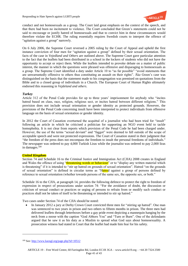

conduct and not homosexuals as a group. The Court laid great emphasis on the context of the speech, and that there had been no incitement to violence. The Court concluded that Green's statements could not be said to encourage or justify hatred of homosexuals and that to convict him in these circumstances would therefore violate the ECHR. The ruling essentially requires Swedish courts to interpret the offence of "agitation against a group" narrowly.

On 6 July 2006, the Supreme Court reversed a 2005 ruling by the Court of Appeal and upheld the first instance conviction of four men for "agitation against a group" defined by their sexual orientation. The facts of the case in *Vejedland and Others* are outlined above. The Supreme Court gave particular attention to the fact that the leaflets had been distributed in a school in the lockers of students who did not have the opportunity to accept or reject them. While the leaflets intended to provoke debate on a matter of public interest, the manner in which the questions were phrased was offensive and disparaging to homosexuals as a group. The Supreme Court identified a duty under Article 10 to "as far possible" "avoid statements that are unwarrantedly offensive to others thus constituting an assault on their rights". Åke Green's case was distinguished on the basis that the statement made to his congregation was premised on quotations from the Bible and to a closed group of individuals in a Church. The European Court of Human Rights ultimately endorsed this reasoning in *Vejdeland and others*.

# *Turkey*

Article 312 of the Penal Code provides for up to three years' imprisonment for anybody who "incites hatred based on class, race, religion, religious sect, or incites hatred between different religions." This provision does not include sexual orientation or gender identity as protected grounds. However, the provisions of the Penal Code concerning insult have been interpreted to protect individuals from offensive language on the basis of sexual orientation or gender identity.

In 2012 the Court of Cassation overturned the acquittal of a journalist who had been tried for "insult" following an article in which he criticised a politician for supporting an NGO event held to tackle homophobia. It is not clear from reports which provision of the Penal Code he had been charged under. However, the use of the terms "sexual deviant" and "faggot" were deemed to fall outside of the scope of acceptable speech and were not protected expressions. The Court of Cassation stated in their judgment that "the freedom of the press does not encompass the freedom to insult the personal freedoms of individuals." The newspaper was ordered to pay 4,000 Turkish Liras while the journalist was ordered to pay 2,000 liras in damages.<sup>109</sup>

# *United Kingdom*

 $\overline{a}$ 

Section 74 and Schedule 16 to the Criminal Justice and Immigration Act (CJIA) 2008 creates in England and Wales the offence of using "threatening words or behaviour" or to "display any written material which is threatening" if it is intended to "stir up hatred on grounds of sexual orientation". Hatred "on the grounds of sexual orientation" is defined in circular terms as "Hatred against a group of persons defined by reference to sexual orientation (whether towards persons of the same sex, the opposite sex, or both."

Schedule 16 to the CJIA, at paragraph 14, provides the following defence to protect the right to freedom of expression in respect of prosecutions under section 74: "For the avoidance of doubt, the discussion or criticism of sexual conduct or practices or urging of persons to refrain from or modify such conduct or practices shall not be taken of itself to be threatening or intended to stir up hatred."

Two cases under Section 74 of the CJIA should be noted:

 In January 2012 a jury at Derby Crown Court convicted three men for "stirring up hatred". One man was sentenced to two years in prison and two others to fifteen months in prison. The three men had delivered leaflets through letterboxes before a gay pride event depicting a mannequin hanging by the neck from a noose with the caption "God Abhors You" and "Turn or Burn". One of the defendants argued that he saw it as his duty as a Muslim to spread what God says about homosexuality. A prosecution witness had stated in Court that the leaflet had made him fear for his safety.

<sup>109</sup> See:<http://www.kaosgl.org/page.php?id=10512>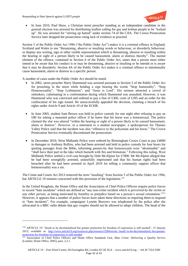$\overline{a}$ 



• In June 2010, Paul Shaw, a Christian street preacher standing as an independent candidate in the general election was arrested for distributing leaflets calling for gay and lesbian people to be "locked up". He was arrested for "stirring up hatred" under section 74 of the CJIA. The Crown Prosecution Service later dropped the prosecution citing lack of evidence to proceed.

Section 5 of the Public Order Act 1986 ("the Public Order Act") makes it is a criminal offence in England, Scotland and Wales to use "threatening, abusive or insulting words or behaviour, or disorderly behaviour, or display any writing, sign or other visible representation which is threatening, abusive or insulting within the hearing or sight of a person likely to be caused harassment, alarm or distress thereby". The mental element of the offence, contained in Section 6 of the Public Order Act, states that a person must either intend or be aware that his conduct is or may be threatening, abusive or insulting or he intends or is aware that it may be disorderly. Section 4A of the Public Order Act makes it a criminal offence to intentionally cause harassment, alarm or distress to a specific person.

A number of cases under the Public Order Act should be noted:

- In 2002, street preacher Harry Hammond was arrested pursuant to Section 5 of the Public Order Act for preaching in the street while holding a sign bearing the words "Stop Immorality", "Stop Homosexuality", "Stop Lesbianism", and "Jesus is Lord". His sermon attracted a crowd of onlookers, culminating in a confrontation during which Hammond was assaulted. However, it was Hammond who was convicted and ordered to pay a fine of £300, costs of £395 and an order for the confiscation of his sign issued. He unsuccessfully appealed the decision, claiming a breach of his rights under Article 9 and Article 10 of the ECHR.
- In June 2005, student Sam Brown was held in police custody for one night after refusing to pay an £80 for asking a mounted police officer if he knew that his horse was a homosexual. The police claimed the slur was uttered "within the hearing or sight of a person likely to be caused harassment, alarm or distress". However, in a statement to a student newspaper, a spokesperson for Thames Valley Police said that the incident was also "offensive to the policeman and his horse." The Crown Prosecution Service eventually discontinued the prosecution.
- In December 2010, West Midlands Police were ordered by Birmingham Crown Court to pay £4000 in damages to Anthony Rollins, who had been arrested and held in police custody for four hours for quoting passages from the Bible, informing passers-by that homosexuals were "abominable" and "shall have their part in the lake which burneth with fire and brimstone." Following this ruling, West Midlands Police settled a civil case brought by Dale McAlpine for £7000. Mr McAlpine alleged that he had been wrongfully arrested, unlawfully imprisoned and that his human rights had been breached after he had been arrested in April 2010 for telling a community support officer that homosexuality was a sin.

The Crime and Courts Act 2013 removed the term "insulting" from Section 5 of the Public Order Act 1986, but ARTICLE 19 remains concerned with this provision of the legislation.<sup>110</sup>

In the United Kingdom, the Home Office and the Association of Chief Police Officers require police forces to record "hate incidents" which are defined as "any non-crime incident *which is perceived by the victim or any other person*, as being motivated by hostility or prejudice based on a person's sexual orientation."<sup>111</sup> However, it appears that a number of police forces have taken these directions as requiring them to respond to "hate incidents". For example, campaigner Lynette Burrows was telephoned by the police after she advocated in a BBC radio debate that gay couples should not be allowed to adopt children. The head of the

<sup>110</sup> ARTICLE 19: "Insult to be decriminalised but greater protection for freedom of expression is still needed", 15 January 2013; available at: [http://www.article19.org/resources.php/resource/3584/en/uk:-'insult'-to-be-decriminalised,-but-greater](http://www.article19.org/resources.php/resource/3584/en/uk:-)[protection-for-freedom-of-expression-is-still-needed](http://www.article19.org/resources.php/resource/3584/en/uk:-)

<sup>&</sup>lt;sup>111</sup> Association of Chief Police Officers and Home Office Standards Unit, *Hate Crime: Delivering a Quality Service* (London: Home Office, 2005), para. 2.2.1.